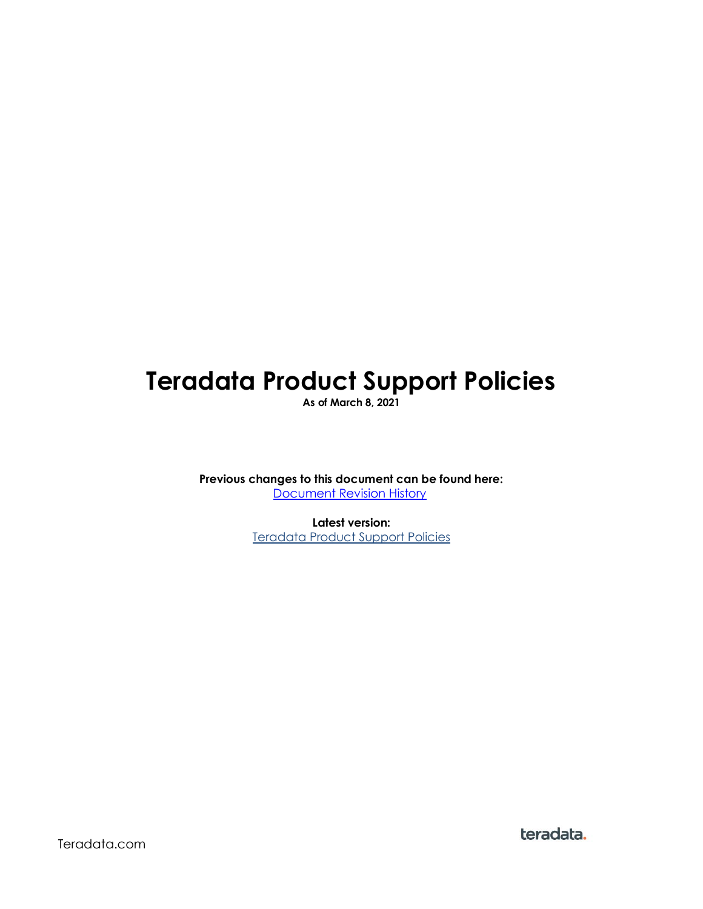# **Teradata Product Support Policies**

**As of March 8, 2021**

**Previous changes to this document can be found here:** [Document Revision History](http://assets.teradata.com/resourceCenter/downloads/Product-Support-Policies-Revision-History.pdf)

> **Latest version:** [Teradata Product Support Policies](http://assets.teradata.com/resourceCenter/downloads/Product-Support-Policies.pdf)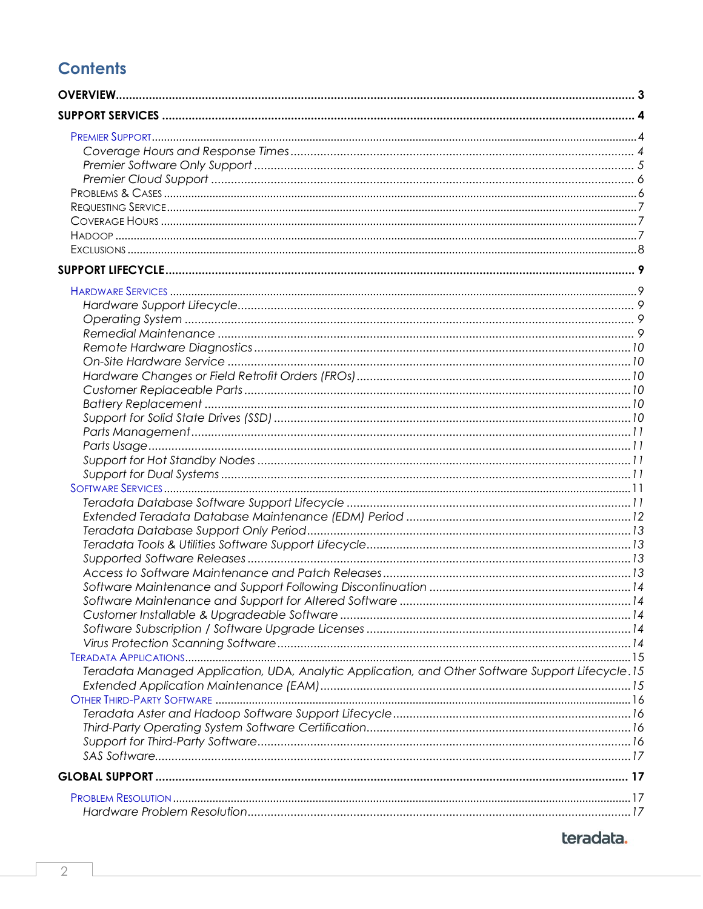# **Contents**

| Teradata Managed Application, UDA, Analytic Application, and Other Software Support Lifecycle.15 |  |
|--------------------------------------------------------------------------------------------------|--|
|                                                                                                  |  |
|                                                                                                  |  |
|                                                                                                  |  |
|                                                                                                  |  |
|                                                                                                  |  |
|                                                                                                  |  |
|                                                                                                  |  |
|                                                                                                  |  |
|                                                                                                  |  |
|                                                                                                  |  |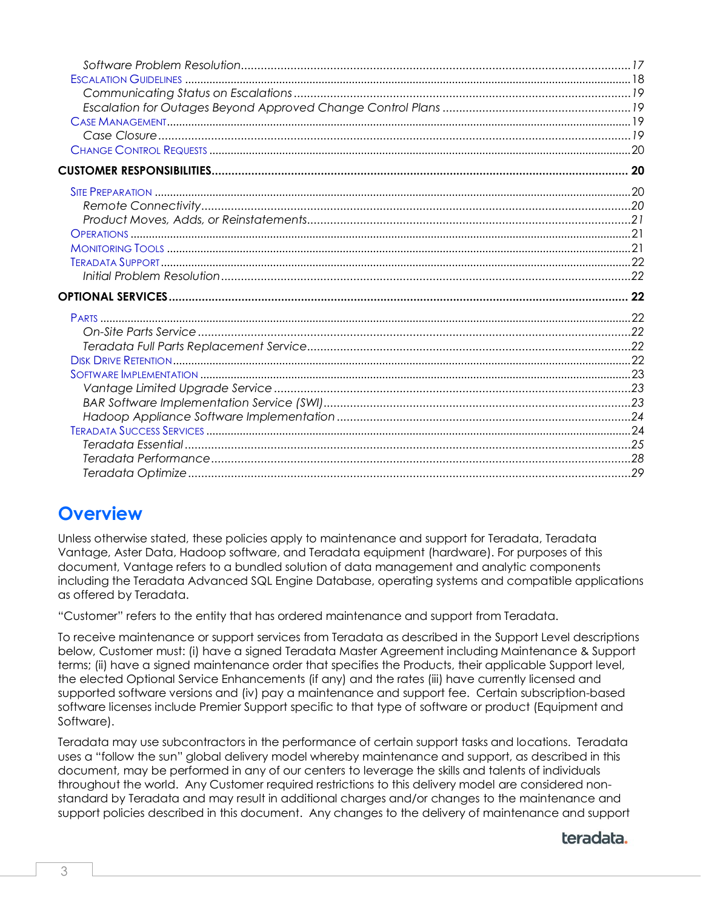# <span id="page-2-0"></span>**Overview**

Unless otherwise stated, these policies apply to maintenance and support for Teradata, Teradata Vantage, Aster Data, Hadoop software, and Teradata equipment (hardware). For purposes of this document, Vantage refers to a bundled solution of data management and analytic components including the Teradata Advanced SQL Engine Database, operating systems and compatible applications as offered by Teradata.

"Customer" refers to the entity that has ordered maintenance and support from Teradata.

To receive maintenance or support services from Teradata as described in the Support Level descriptions below, Customer must: (i) have a signed Teradata Master Agreement including Maintenance & Support terms; (ii) have a signed maintenance order that specifies the Products, their applicable Support level, the elected Optional Service Enhancements (if any) and the rates (iii) have currently licensed and supported software versions and (iv) pay a maintenance and support fee. Certain subscription-based software licenses include Premier Support specific to that type of software or product (Equipment and Software).

Teradata may use subcontractors in the performance of certain support tasks and locations. Teradata uses a "follow the sun" global delivery model whereby maintenance and support, as described in this document, may be performed in any of our centers to leverage the skills and talents of individuals throughout the world. Any Customer required restrictions to this delivery model are considered nonstandard by Teradata and may result in additional charges and/or changes to the maintenance and support policies described in this document. Any changes to the delivery of maintenance and support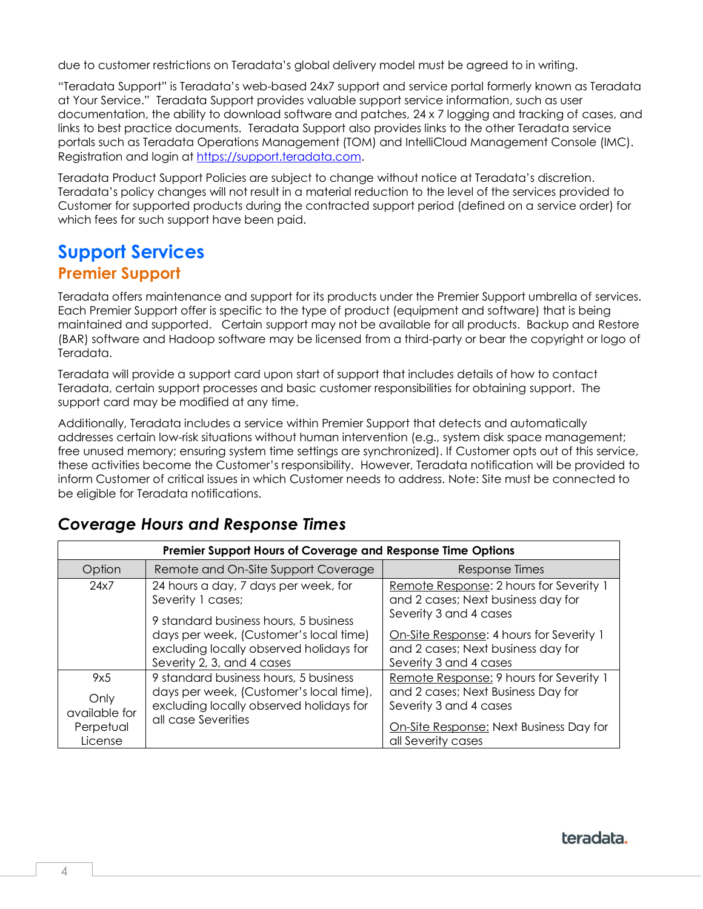due to customer restrictions on Teradata's global delivery model must be agreed to in writing.

"Teradata Support" is Teradata's web-based 24x7 support and service portal formerly known as Teradata at Your Service." Teradata Support provides valuable support service information, such as user documentation, the ability to download software and patches, 24 x 7 logging and tracking of cases, and links to best practice documents. Teradata Support also provides links to the other Teradata service portals such as Teradata Operations Management (TOM) and IntelliCloud Management Console (IMC). Registration and login at [https://support.teradata.com.](https://support.teradata.com/)

Teradata Product Support Policies are subject to change without notice at Teradata's discretion. Teradata's policy changes will not result in a material reduction to the level of the services provided to Customer for supported products during the contracted support period (defined on a service order) for which fees for such support have been paid.

# <span id="page-3-1"></span><span id="page-3-0"></span>**Support Services Premier Support**

Teradata offers maintenance and support for its products under the Premier Support umbrella of services. Each Premier Support offer is specific to the type of product (equipment and software) that is being maintained and supported. Certain support may not be available for all products. Backup and Restore (BAR) software and Hadoop software may be licensed from a third-party or bear the copyright or logo of Teradata.

Teradata will provide a support card upon start of support that includes details of how to contact Teradata, certain support processes and basic customer responsibilities for obtaining support. The support card may be modified at any time.

Additionally, Teradata includes a service within Premier Support that detects and automatically addresses certain low-risk situations without human intervention (e.g., system disk space management; free unused memory; ensuring system time settings are synchronized). If Customer opts out of this service, these activities become the Customer's responsibility. However, Teradata notification will be provided to inform Customer of critical issues in which Customer needs to address. Note: Site must be connected to be eligible for Teradata notifications.

| Premier Support Hours of Coverage and Response Time Options |                                                                                                                                                    |                                                                                                          |  |
|-------------------------------------------------------------|----------------------------------------------------------------------------------------------------------------------------------------------------|----------------------------------------------------------------------------------------------------------|--|
| Option                                                      | Remote and On-Site Support Coverage                                                                                                                | Response Times                                                                                           |  |
| 24x7                                                        | 24 hours a day, 7 days per week, for<br>Severity 1 cases;<br>9 standard business hours, 5 business                                                 | Remote Response: 2 hours for Severity 1<br>and 2 cases; Next business day for<br>Severity 3 and 4 cases  |  |
|                                                             | days per week, (Customer's local time)<br>excluding locally observed holidays for<br>Severity 2, 3, and 4 cases                                    | On-Site Response: 4 hours for Severity 1<br>and 2 cases; Next business day for<br>Severity 3 and 4 cases |  |
| 9x5<br>Only<br>available for                                | 9 standard business hours, 5 business<br>days per week, (Customer's local time),<br>excluding locally observed holidays for<br>all case Severities | Remote Response: 9 hours for Severity 1<br>and 2 cases; Next Business Day for<br>Severity 3 and 4 cases  |  |
| Perpetual<br>License                                        |                                                                                                                                                    | On-Site Response: Next Business Day for<br>all Severity cases                                            |  |

# <span id="page-3-2"></span>*Coverage Hours and Response Times*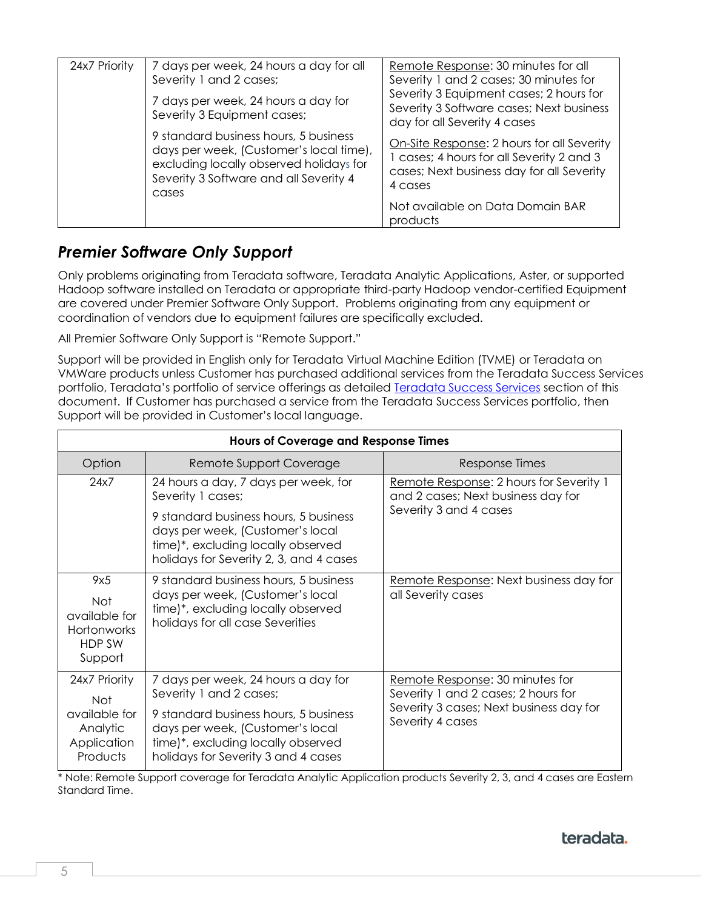| 24x7 Priority | 7 days per week, 24 hours a day for all<br>Severity 1 and 2 cases;                                                                                                             | Remote Response: 30 minutes for all<br>Severity 1 and 2 cases; 30 minutes for                                                                                                                   |
|---------------|--------------------------------------------------------------------------------------------------------------------------------------------------------------------------------|-------------------------------------------------------------------------------------------------------------------------------------------------------------------------------------------------|
|               | 7 days per week, 24 hours a day for<br>Severity 3 Equipment cases;                                                                                                             | Severity 3 Equipment cases; 2 hours for<br>Severity 3 Software cases; Next business<br>day for all Severity 4 cases                                                                             |
|               | 9 standard business hours, 5 business<br>days per week, (Customer's local time),<br>excluding locally observed holidays for<br>Severity 3 Software and all Severity 4<br>cases | On-Site Response: 2 hours for all Severity<br>1 cases; 4 hours for all Severity 2 and 3<br>cases; Next business day for all Severity<br>4 cases<br>Not available on Data Domain BAR<br>products |

### <span id="page-4-0"></span>*Premier Software Only Support*

Only problems originating from Teradata software, Teradata Analytic Applications, Aster, or supported Hadoop software installed on Teradata or appropriate third-party Hadoop vendor-certified Equipment are covered under Premier Software Only Support. Problems originating from any equipment or coordination of vendors due to equipment failures are specifically excluded.

All Premier Software Only Support is "Remote Support."

Support will be provided in English only for Teradata Virtual Machine Edition (TVME) or Teradata on VMWare products unless Customer has purchased additional services from the Teradata Success Services portfolio, Teradata's portfolio of service offerings as detailed [Teradata Success Services](#page-23-0) section of this document. If Customer has purchased a service from the Teradata Success Services portfolio, then Support will be provided in Customer's local language.

| <b>Hours of Coverage and Response Times</b>                            |                                                                                                                                                            |                                                                               |  |
|------------------------------------------------------------------------|------------------------------------------------------------------------------------------------------------------------------------------------------------|-------------------------------------------------------------------------------|--|
| Option                                                                 | Remote Support Coverage                                                                                                                                    | Response Times                                                                |  |
| 24x7                                                                   | 24 hours a day, 7 days per week, for<br>Severity 1 cases;                                                                                                  | Remote Response: 2 hours for Severity 1<br>and 2 cases; Next business day for |  |
|                                                                        | 9 standard business hours, 5 business<br>days per week, (Customer's local<br>time)*, excluding locally observed<br>holidays for Severity 2, 3, and 4 cases | Severity 3 and 4 cases                                                        |  |
| 9x5<br>Not<br>available for<br><b>Hortonworks</b><br>HDP SW<br>Support | 9 standard business hours, 5 business<br>days per week, (Customer's local<br>time)*, excluding locally observed<br>holidays for all case Severities        | Remote Response: Next business day for<br>all Severity cases                  |  |
| 24x7 Priority<br><b>Not</b>                                            | 7 days per week, 24 hours a day for<br>Severity 1 and 2 cases;                                                                                             | Remote Response: 30 minutes for<br>Severity 1 and 2 cases; 2 hours for        |  |
| available for<br>Analytic<br>Application<br>Products                   | 9 standard business hours, 5 business<br>days per week, (Customer's local<br>time)*, excluding locally observed<br>holidays for Severity 3 and 4 cases     | Severity 3 cases; Next business day for<br>Severity 4 cases                   |  |

\* Note: Remote Support coverage for Teradata Analytic Application products Severity 2, 3, and 4 cases are Eastern Standard Time.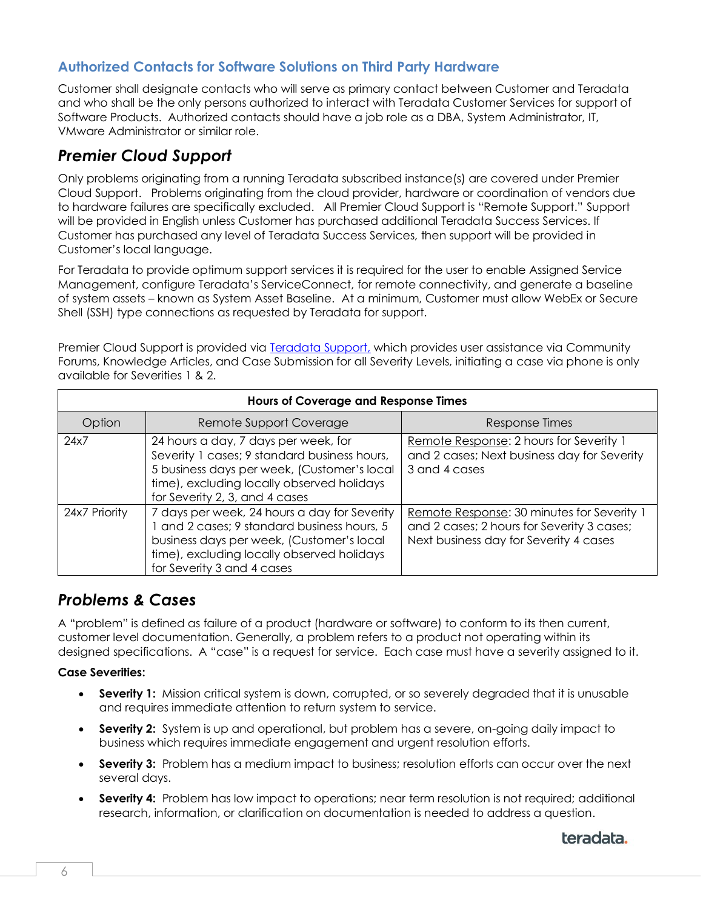#### **Authorized Contacts for Software Solutions on Third Party Hardware**

Customer shall designate contacts who will serve as primary contact between Customer and Teradata and who shall be the only persons authorized to interact with Teradata Customer Services for support of Software Products. Authorized contacts should have a job role as a DBA, System Administrator, IT, VMware Administrator or similar role.

### <span id="page-5-0"></span>*Premier Cloud Support*

Only problems originating from a running Teradata subscribed instance(s) are covered under Premier Cloud Support. Problems originating from the cloud provider, hardware or coordination of vendors due to hardware failures are specifically excluded. All Premier Cloud Support is "Remote Support." Support will be provided in English unless Customer has purchased additional Teradata Success Services. If Customer has purchased any level of Teradata Success Services, then support will be provided in Customer's local language.

For Teradata to provide optimum support services it is required for the user to enable Assigned Service Management, configure Teradata's ServiceConnect, for remote connectivity, and generate a baseline of system assets – known as System Asset Baseline. At a minimum, Customer must allow WebEx or Secure Shell (SSH) type connections as requested by Teradata for support.

Premier Cloud Support is provided via **Teradata Support**, which provides user assistance via Community Forums, Knowledge Articles, and Case Submission for all Severity Levels, initiating a case via phone is only available for Severities 1 & 2.

| <b>Hours of Coverage and Response Times</b> |                                                                                                                                                                                                                      |                                                                                                                                    |
|---------------------------------------------|----------------------------------------------------------------------------------------------------------------------------------------------------------------------------------------------------------------------|------------------------------------------------------------------------------------------------------------------------------------|
| Option                                      | Remote Support Coverage                                                                                                                                                                                              | Response Times                                                                                                                     |
| 24x7                                        | 24 hours a day, 7 days per week, for<br>Severity 1 cases; 9 standard business hours,<br>5 business days per week, (Customer's local<br>time), excluding locally observed holidays<br>for Severity 2, 3, and 4 cases  | Remote Response: 2 hours for Severity 1<br>and 2 cases; Next business day for Severity<br>3 and 4 cases                            |
| 24x7 Priority                               | 7 days per week, 24 hours a day for Severity<br>1 and 2 cases; 9 standard business hours, 5<br>business days per week, (Customer's local<br>time), excluding locally observed holidays<br>for Severity 3 and 4 cases | Remote Response: 30 minutes for Severity 1<br>and 2 cases; 2 hours for Severity 3 cases;<br>Next business day for Severity 4 cases |

### <span id="page-5-1"></span>*Problems & Cases*

A "problem" is defined as failure of a product (hardware or software) to conform to its then current, customer level documentation. Generally, a problem refers to a product not operating within its designed specifications. A "case" is a request for service. Each case must have a severity assigned to it.

#### **Case Severities:**

- **Severity 1:** Mission critical system is down, corrupted, or so severely degraded that it is unusable and requires immediate attention to return system to service.
- **Severity 2:** System is up and operational, but problem has a severe, on-going daily impact to business which requires immediate engagement and urgent resolution efforts.
- **Severity 3:** Problem has a medium impact to business; resolution efforts can occur over the next several days.
- **Severity 4:** Problem has low impact to operations; near term resolution is not required; additional research, information, or clarification on documentation is needed to address a question.

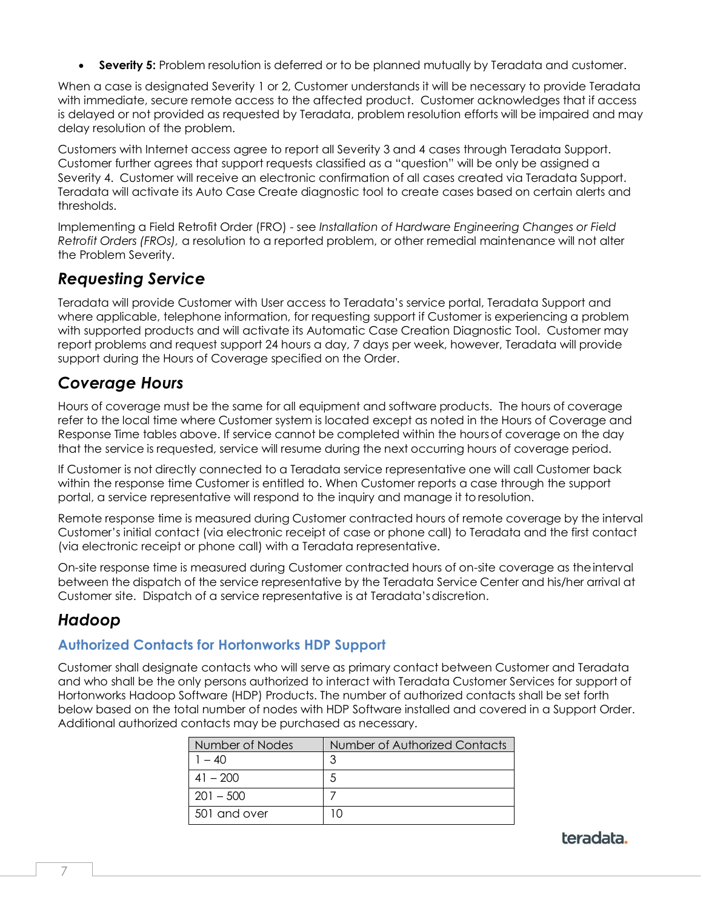• **Severity 5:** Problem resolution is deferred or to be planned mutually by Teradata and customer.

When a case is designated Severity 1 or 2, Customer understands it will be necessary to provide Teradata with immediate, secure remote access to the affected product. Customer acknowledges that if access is delayed or not provided as requested by Teradata, problem resolution efforts will be impaired and may delay resolution of the problem.

Customers with Internet access agree to report all Severity 3 and 4 cases through Teradata Support. Customer further agrees that support requests classified as a "question" will be only be assigned a Severity 4. Customer will receive an electronic confirmation of all cases created via Teradata Support. Teradata will activate its Auto Case Create diagnostic tool to create cases based on certain alerts and thresholds.

Implementing a Field Retrofit Order (FRO) - see *Installation of Hardware Engineering Changes or Field Retrofit Orders (FROs),* a resolution to a reported problem, or other remedial maintenance will not alter the Problem Severity.

### <span id="page-6-0"></span>*Requesting Service*

Teradata will provide Customer with User access to Teradata's service portal, Teradata Support and where applicable, telephone information, for requesting support if Customer is experiencing a problem with supported products and will activate its Automatic Case Creation Diagnostic Tool. Customer may report problems and request support 24 hours a day, 7 days per week, however, Teradata will provide support during the Hours of Coverage specified on the Order.

### <span id="page-6-1"></span>*Coverage Hours*

Hours of coverage must be the same for all equipment and software products. The hours of coverage refer to the local time where Customer system is located except as noted in the Hours of Coverage and Response Time tables above. If service cannot be completed within the hoursof coverage on the day that the service is requested, service will resume during the next occurring hours of coverage period.

If Customer is not directly connected to a Teradata service representative one will call Customer back within the response time Customer is entitled to. When Customer reports a case through the support portal, a service representative will respond to the inquiry and manage it to resolution.

Remote response time is measured during Customer contracted hours of remote coverage by the interval Customer's initial contact (via electronic receipt of case or phone call) to Teradata and the first contact (via electronic receipt or phone call) with a Teradata representative.

On-site response time is measured during Customer contracted hours of on-site coverage as theinterval between the dispatch of the service representative by the Teradata Service Center and his/her arrival at Customer site. Dispatch of a service representative is at Teradata'sdiscretion.

### <span id="page-6-2"></span>*Hadoop*

#### **Authorized Contacts for Hortonworks HDP Support**

Customer shall designate contacts who will serve as primary contact between Customer and Teradata and who shall be the only persons authorized to interact with Teradata Customer Services for support of Hortonworks Hadoop Software (HDP) Products. The number of authorized contacts shall be set forth below based on the total number of nodes with HDP Software installed and covered in a Support Order. Additional authorized contacts may be purchased as necessary.

| Number of Nodes | Number of Authorized Contacts |
|-----------------|-------------------------------|
| $1 - 40$        |                               |
| $41 - 200$      |                               |
| $201 - 500$     |                               |
| 501 and over    | 10                            |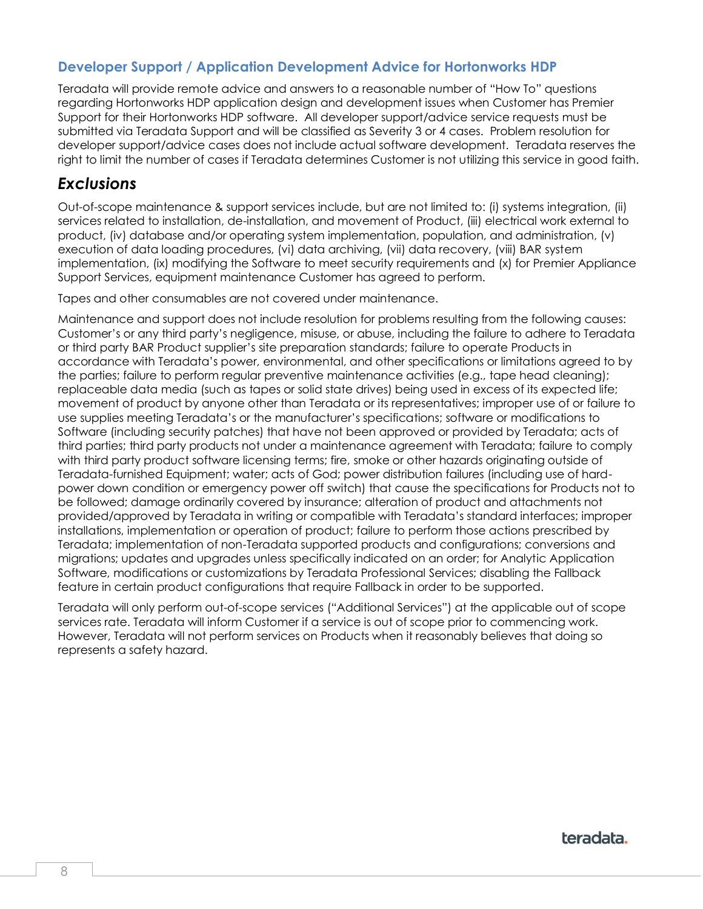#### **Developer Support / Application Development Advice for Hortonworks HDP**

Teradata will provide remote advice and answers to a reasonable number of "How To" questions regarding Hortonworks HDP application design and development issues when Customer has Premier Support for their Hortonworks HDP software. All developer support/advice service requests must be submitted via Teradata Support and will be classified as Severity 3 or 4 cases. Problem resolution for developer support/advice cases does not include actual software development. Teradata reserves the right to limit the number of cases if Teradata determines Customer is not utilizing this service in good faith.

### <span id="page-7-0"></span>*Exclusions*

Out-of-scope maintenance & support services include, but are not limited to: (i) systems integration, (ii) services related to installation, de-installation, and movement of Product, (iii) electrical work external to product, (iv) database and/or operating system implementation, population, and administration, (v) execution of data loading procedures, (vi) data archiving, (vii) data recovery, (viii) BAR system implementation, (ix) modifying the Software to meet security requirements and (x) for Premier Appliance Support Services, equipment maintenance Customer has agreed to perform.

Tapes and other consumables are not covered under maintenance.

Maintenance and support does not include resolution for problems resulting from the following causes: Customer's or any third party's negligence, misuse, or abuse, including the failure to adhere to Teradata or third party BAR Product supplier's site preparation standards; failure to operate Products in accordance with Teradata's power, environmental, and other specifications or limitations agreed to by the parties; failure to perform regular preventive maintenance activities (e.g., tape head cleaning); replaceable data media (such as tapes or solid state drives) being used in excess of its expected life; movement of product by anyone other than Teradata or its representatives; improper use of or failure to use supplies meeting Teradata's or the manufacturer's specifications; software or modifications to Software (including security patches) that have not been approved or provided by Teradata; acts of third parties; third party products not under a maintenance agreement with Teradata; failure to comply with third party product software licensing terms; fire, smoke or other hazards originating outside of Teradata-furnished Equipment; water; acts of God; power distribution failures (including use of hardpower down condition or emergency power off switch) that cause the specifications for Products not to be followed; damage ordinarily covered by insurance; alteration of product and attachments not provided/approved by Teradata in writing or compatible with Teradata's standard interfaces; improper installations, implementation or operation of product; failure to perform those actions prescribed by Teradata; implementation of non-Teradata supported products and configurations; conversions and migrations; updates and upgrades unless specifically indicated on an order; for Analytic Application Software, modifications or customizations by Teradata Professional Services; disabling the Fallback feature in certain product configurations that require Fallback in order to be supported.

<span id="page-7-1"></span>Teradata will only perform out-of-scope services ("Additional Services") at the applicable out of scope services rate. Teradata will inform Customer if a service is out of scope prior to commencing work. However, Teradata will not perform services on Products when it reasonably believes that doing so represents a safety hazard.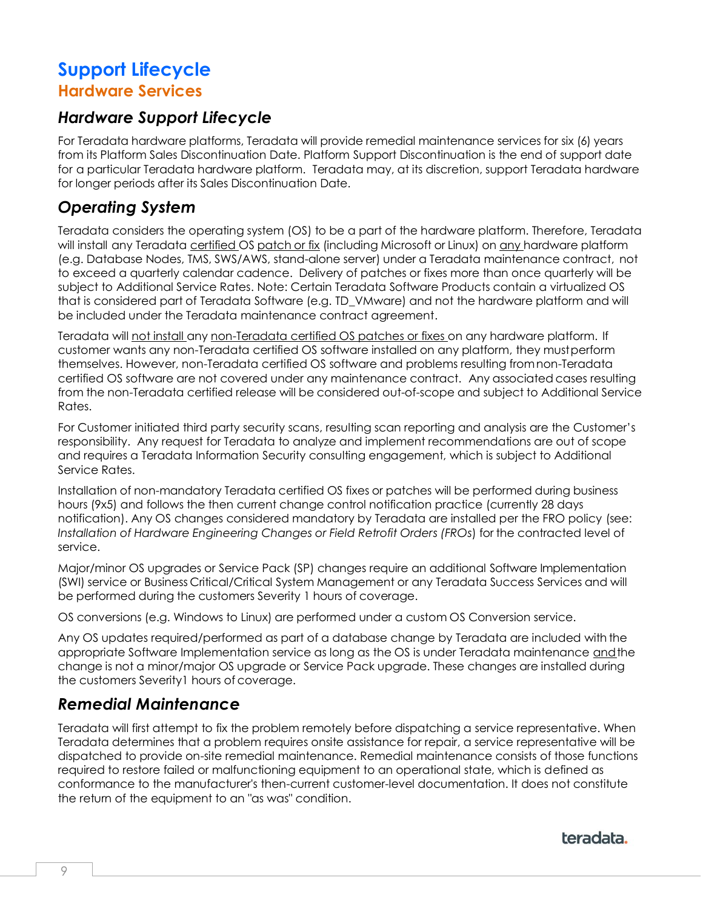# <span id="page-8-0"></span>**Support Lifecycle Hardware Services**

# <span id="page-8-1"></span>*Hardware Support Lifecycle*

For Teradata hardware platforms, Teradata will provide remedial maintenance services for six (6) years from its Platform Sales Discontinuation Date. Platform Support Discontinuation is the end of support date for a particular Teradata hardware platform. Teradata may, at its discretion, support Teradata hardware for longer periods after its Sales Discontinuation Date.

# <span id="page-8-2"></span>*Operating System*

Teradata considers the operating system (OS) to be a part of the hardware platform. Therefore, Teradata will install any Teradata certified OS patch or fix (including Microsoft or Linux) on any hardware platform (e.g. Database Nodes, TMS, SWS/AWS, stand-alone server) under a Teradata maintenance contract, not to exceed a quarterly calendar cadence. Delivery of patches or fixes more than once quarterly will be subject to Additional Service Rates. Note: Certain Teradata Software Products contain a virtualized OS that is considered part of Teradata Software (e.g. TD\_VMware) and not the hardware platform and will be included under the Teradata maintenance contract agreement.

Teradata will not install any non-Teradata certified OS patches or fixes on any hardware platform. If customer wants any non-Teradata certified OS software installed on any platform, they mustperform themselves. However, non-Teradata certified OS software and problems resulting fromnon-Teradata certified OS software are not covered under any maintenance contract. Any associated cases resulting from the non-Teradata certified release will be considered out-of-scope and subject to Additional Service Rates.

For Customer initiated third party security scans, resulting scan reporting and analysis are the Customer's responsibility. Any request for Teradata to analyze and implement recommendations are out of scope and requires a Teradata Information Security consulting engagement, which is subject to Additional Service Rates.

Installation of non-mandatory Teradata certified OS fixes or patches will be performed during business hours (9x5) and follows the then current change control notification practice (currently 28 days notification). Any OS changes considered mandatory by Teradata are installed per the FRO policy (see: *Installation of Hardware Engineering Changes or Field Retrofit Orders (FROs*) for the contracted level of service.

Major/minor OS upgrades or Service Pack (SP) changes require an additional Software Implementation (SWI) service or Business Critical/Critical System Management or any Teradata Success Services and will be performed during the customers Severity 1 hours of coverage.

OS conversions (e.g. Windows to Linux) are performed under a custom OS Conversion service.

Any OS updates required/performed as part of a database change by Teradata are included with the appropriate Software Implementation service as long as the OS is under Teradata maintenance andthe change is not a minor/major OS upgrade or Service Pack upgrade. These changes are installed during the customers Severity1 hours of coverage.

# <span id="page-8-3"></span>*Remedial Maintenance*

Teradata will first attempt to fix the problem remotely before dispatching a service representative. When Teradata determines that a problem requires onsite assistance for repair, a service representative will be dispatched to provide on-site remedial maintenance. Remedial maintenance consists of those functions required to restore failed or malfunctioning equipment to an operational state, which is defined as conformance to the manufacturer's then-current customer-level documentation. It does not constitute the return of the equipment to an "as was" condition.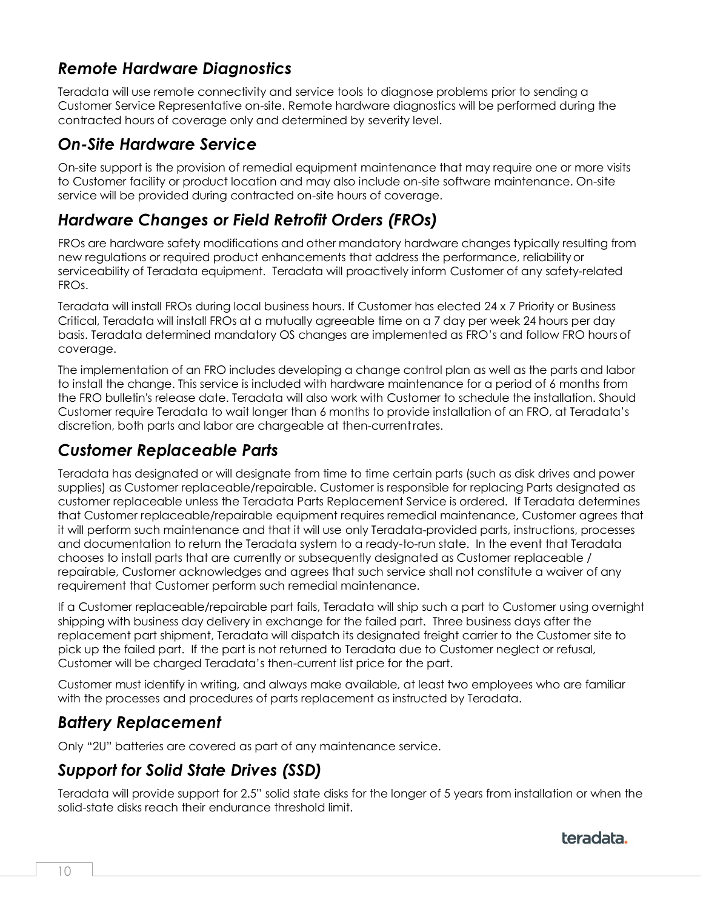# <span id="page-9-0"></span>*Remote Hardware Diagnostics*

Teradata will use remote connectivity and service tools to diagnose problems prior to sending a Customer Service Representative on-site. Remote hardware diagnostics will be performed during the contracted hours of coverage only and determined by severity level.

### <span id="page-9-1"></span>*On-Site Hardware Service*

On-site support is the provision of remedial equipment maintenance that may require one or more visits to Customer facility or product location and may also include on-site software maintenance. On-site service will be provided during contracted on-site hours of coverage.

# <span id="page-9-2"></span>*Hardware Changes or Field Retrofit Orders (FROs)*

FROs are hardware safety modifications and other mandatory hardware changes typically resulting from new regulations or required product enhancements that address the performance, reliabilityor serviceability of Teradata equipment. Teradata will proactively inform Customer of any safety-related FROs.

Teradata will install FROs during local business hours. If Customer has elected 24 x 7 Priority or Business Critical, Teradata will install FROs at a mutually agreeable time on a 7 day per week 24 hours per day basis. Teradata determined mandatory OS changes are implemented as FRO's and follow FRO hours of coverage.

The implementation of an FRO includes developing a change control plan as well as the parts and labor to install the change. This service is included with hardware maintenance for a period of 6 months from the FRO bulletin's release date. Teradata will also work with Customer to schedule the installation. Should Customer require Teradata to wait longer than 6 months to provide installation of an FRO, at Teradata's discretion, both parts and labor are chargeable at then-currentrates.

### <span id="page-9-3"></span>*Customer Replaceable Parts*

Teradata has designated or will designate from time to time certain parts (such as disk drives and power supplies) as Customer replaceable/repairable. Customer is responsible for replacing Parts designated as customer replaceable unless the Teradata Parts Replacement Service is ordered. If Teradata determines that Customer replaceable/repairable equipment requires remedial maintenance, Customer agrees that it will perform such maintenance and that it will use only Teradata-provided parts, instructions, processes and documentation to return the Teradata system to a ready-to-run state. In the event that Teradata chooses to install parts that are currently or subsequently designated as Customer replaceable / repairable, Customer acknowledges and agrees that such service shall not constitute a waiver of any requirement that Customer perform such remedial maintenance.

If a Customer replaceable/repairable part fails, Teradata will ship such a part to Customer using overnight shipping with business day delivery in exchange for the failed part. Three business days after the replacement part shipment, Teradata will dispatch its designated freight carrier to the Customer site to pick up the failed part. If the part is not returned to Teradata due to Customer neglect or refusal, Customer will be charged Teradata's then-current list price for the part.

Customer must identify in writing, and always make available, at least two employees who are familiar with the processes and procedures of parts replacement as instructed by Teradata.

# <span id="page-9-4"></span>*Battery Replacement*

Only "2U" batteries are covered as part of any maintenance service.

# <span id="page-9-5"></span>*Support for Solid State Drives (SSD)*

Teradata will provide support for 2.5" solid state disks for the longer of 5 years from installation or when the solid-state disks reach their endurance threshold limit.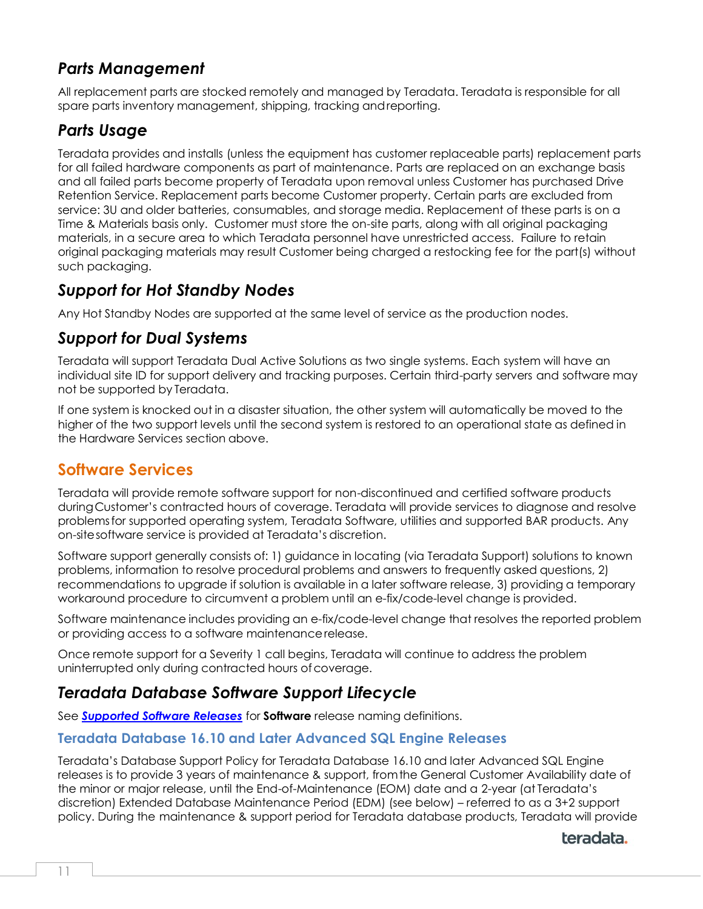# <span id="page-10-0"></span>*Parts Management*

All replacement parts are stocked remotely and managed by Teradata. Teradata is responsible for all spare parts inventory management, shipping, tracking andreporting.

### <span id="page-10-1"></span>*Parts Usage*

Teradata provides and installs (unless the equipment has customer replaceable parts) replacement parts for all failed hardware components as part of maintenance. Parts are replaced on an exchange basis and all failed parts become property of Teradata upon removal unless Customer has purchased Drive Retention Service. Replacement parts become Customer property. Certain parts are excluded from service: 3U and older batteries, consumables, and storage media. Replacement of these parts is on a Time & Materials basis only. Customer must store the on-site parts, along with all original packaging materials, in a secure area to which Teradata personnel have unrestricted access. Failure to retain original packaging materials may result Customer being charged a restocking fee for the part(s) without such packaging.

# <span id="page-10-2"></span>*Support for Hot Standby Nodes*

Any Hot Standby Nodes are supported at the same level of service as the production nodes.

### <span id="page-10-3"></span>*Support for Dual Systems*

Teradata will support Teradata Dual Active Solutions as two single systems. Each system will have an individual site ID for support delivery and tracking purposes. Certain third-party servers and software may not be supported by Teradata.

If one system is knocked out in a disaster situation, the other system will automatically be moved to the higher of the two support levels until the second system is restored to an operational state as defined in the Hardware Services section above.

# <span id="page-10-4"></span>**Software Services**

Teradata will provide remote software support for non-discontinued and certified software products duringCustomer's contracted hours of coverage. Teradata will provide services to diagnose and resolve problemsfor supported operating system, Teradata Software, utilities and supported BAR products. Any on-sitesoftware service is provided at Teradata's discretion.

Software support generally consists of: 1) guidance in locating (via Teradata Support) solutions to known problems, information to resolve procedural problems and answers to frequently asked questions, 2) recommendations to upgrade if solution is available in a later software release, 3) providing a temporary workaround procedure to circumvent a problem until an e-fix/code-level change is provided.

Software maintenance includes providing an e-fix/code-level change that resolves the reported problem or providing access to a software maintenancerelease.

Once remote support for a Severity 1 call begins, Teradata will continue to address the problem uninterrupted only during contracted hours of coverage.

### <span id="page-10-5"></span>*Teradata Database Software Support Lifecycle*

See *[Supported Software Releases](#page-12-2)* for **Software** release naming definitions.

#### **Teradata Database 16.10 and Later Advanced SQL Engine Releases**

Teradata's Database Support Policy for Teradata Database 16.10 and later Advanced SQL Engine releases is to provide 3 years of maintenance & support, fromthe General Customer Availability date of the minor or major release, until the End-of-Maintenance (EOM) date and a 2-year (at Teradata's discretion) Extended Database Maintenance Period (EDM) (see below) – referred to as a 3+2 support policy. During the maintenance & support period for Teradata database products, Teradata will provide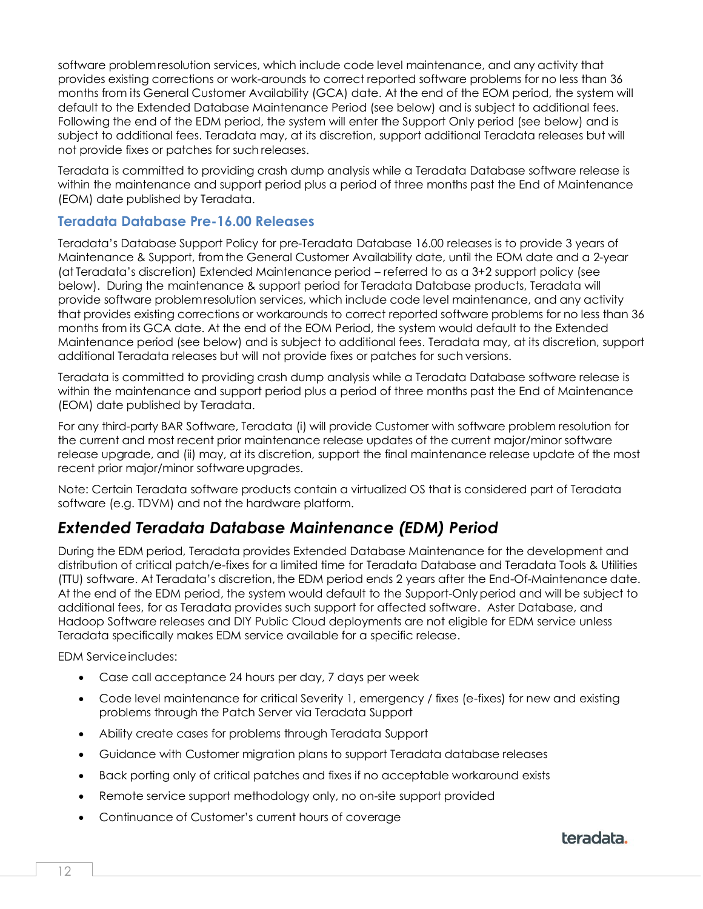software problemresolution services, which include code level maintenance, and any activity that provides existing corrections or work-arounds to correct reported software problems for no less than 36 months from its General Customer Availability (GCA) date. At the end of the EOM period, the system will default to the Extended Database Maintenance Period (see below) and is subject to additional fees. Following the end of the EDM period, the system will enter the Support Only period (see below) and is subject to additional fees. Teradata may, at its discretion, support additional Teradata releases but will not provide fixes or patches for such releases.

Teradata is committed to providing crash dump analysis while a Teradata Database software release is within the maintenance and support period plus a period of three months past the End of Maintenance (EOM) date published by Teradata.

#### **Teradata Database Pre-16.00 Releases**

Teradata's Database Support Policy for pre-Teradata Database 16.00 releases is to provide 3 years of Maintenance & Support, fromthe General Customer Availability date, until the EOM date and a 2-year (at Teradata's discretion) Extended Maintenance period – referred to as a 3+2 support policy (see below). During the maintenance & support period for Teradata Database products, Teradata will provide software problemresolution services, which include code level maintenance, and any activity that provides existing corrections or workarounds to correct reported software problems for no less than 36 months from its GCA date. At the end of the EOM Period, the system would default to the Extended Maintenance period (see below) and is subject to additional fees. Teradata may, at its discretion, support additional Teradata releases but will not provide fixes or patches for such versions.

Teradata is committed to providing crash dump analysis while a Teradata Database software release is within the maintenance and support period plus a period of three months past the End of Maintenance (EOM) date published by Teradata.

For any third-party BAR Software, Teradata (i) will provide Customer with software problem resolution for the current and most recent prior maintenance release updates of the current major/minor software release upgrade, and (ii) may, at its discretion, support the final maintenance release update of the most recent prior major/minor software upgrades.

Note: Certain Teradata software products contain a virtualized OS that is considered part of Teradata software (e.g. TDVM) and not the hardware platform.

# <span id="page-11-0"></span>*Extended Teradata Database Maintenance (EDM) Period*

During the EDM period, Teradata provides Extended Database Maintenance for the development and distribution of critical patch/e-fixes for a limited time for Teradata Database and Teradata Tools & Utilities (TTU) software. At Teradata's discretion, the EDM period ends 2 years after the End-Of-Maintenance date. At the end of the EDM period, the system would default to the Support-Onlyperiod and will be subject to additional fees, for as Teradata provides such support for affected software. Aster Database, and Hadoop Software releases and DIY Public Cloud deployments are not eligible for EDM service unless Teradata specifically makes EDM service available for a specific release.

EDM Serviceincludes:

- Case call acceptance 24 hours per day, 7 days per week
- Code level maintenance for critical Severity 1, emergency / fixes (e-fixes) for new and existing problems through the Patch Server via Teradata Support
- Ability create cases for problems through Teradata Support
- Guidance with Customer migration plans to support Teradata database releases
- Back porting only of critical patches and fixes if no acceptable workaround exists
- Remote service support methodology only, no on-site support provided
- Continuance of Customer's current hours of coverage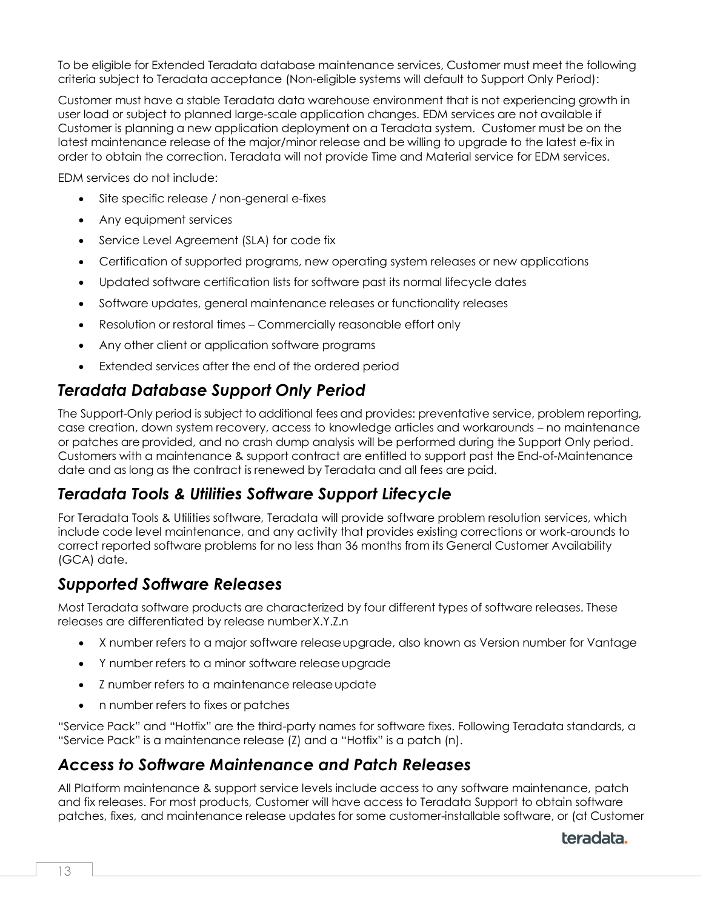To be eligible for Extended Teradata database maintenance services, Customer must meet the following criteria subject to Teradata acceptance (Non-eligible systems will default to Support Only Period):

Customer must have a stable Teradata data warehouse environment that is not experiencing growth in user load or subject to planned large-scale application changes. EDM services are not available if Customer is planning a new application deployment on a Teradata system. Customer must be on the latest maintenance release of the major/minor release and be willing to upgrade to the latest e-fix in order to obtain the correction. Teradata will not provide Time and Material service for EDM services.

EDM services do not include:

- Site specific release / non-general e-fixes
- Any equipment services
- Service Level Agreement (SLA) for code fix
- Certification of supported programs, new operating system releases or new applications
- Updated software certification lists for software past its normal lifecycle dates
- Software updates, general maintenance releases or functionality releases
- Resolution or restoral times Commercially reasonable effort only
- Any other client or application software programs
- Extended services after the end of the ordered period

# <span id="page-12-0"></span>*Teradata Database Support Only Period*

The Support-Only period is subject to additional fees and provides: preventative service, problem reporting, case creation, down system recovery, access to knowledge articles and workarounds – no maintenance or patches are provided, and no crash dump analysis will be performed during the Support Only period. Customers with a maintenance & support contract are entitled to support past the End-of-Maintenance date and as long as the contract is renewed by Teradata and all fees are paid.

### <span id="page-12-1"></span>*Teradata Tools & Utilities Software Support Lifecycle*

For Teradata Tools & Utilities software, Teradata will provide software problem resolution services, which include code level maintenance, and any activity that provides existing corrections or work-arounds to correct reported software problems for no less than 36 months from its General Customer Availability (GCA) date.

### <span id="page-12-2"></span>*Supported Software Releases*

Most Teradata software products are characterized by four different types of software releases. These releases are differentiated by release numberX.Y.Z.n

- X number refers to a major software releaseupgrade, also known as Version number for Vantage
- Y number refers to a minor software releaseupgrade
- Z number refers to a maintenance releaseupdate
- n number refers to fixes or patches

"Service Pack" and "Hotfix" are the third-party names for software fixes. Following Teradata standards, a "Service Pack" is a maintenance release (Z) and a "Hotfix" is a patch (n).

### <span id="page-12-3"></span>*Access to Software Maintenance and Patch Releases*

All Platform maintenance & support service levels include access to any software maintenance, patch and fix releases. For most products, Customer will have access to Teradata Support to obtain software patches, fixes, and maintenance release updates for some customer-installable software, or (at Customer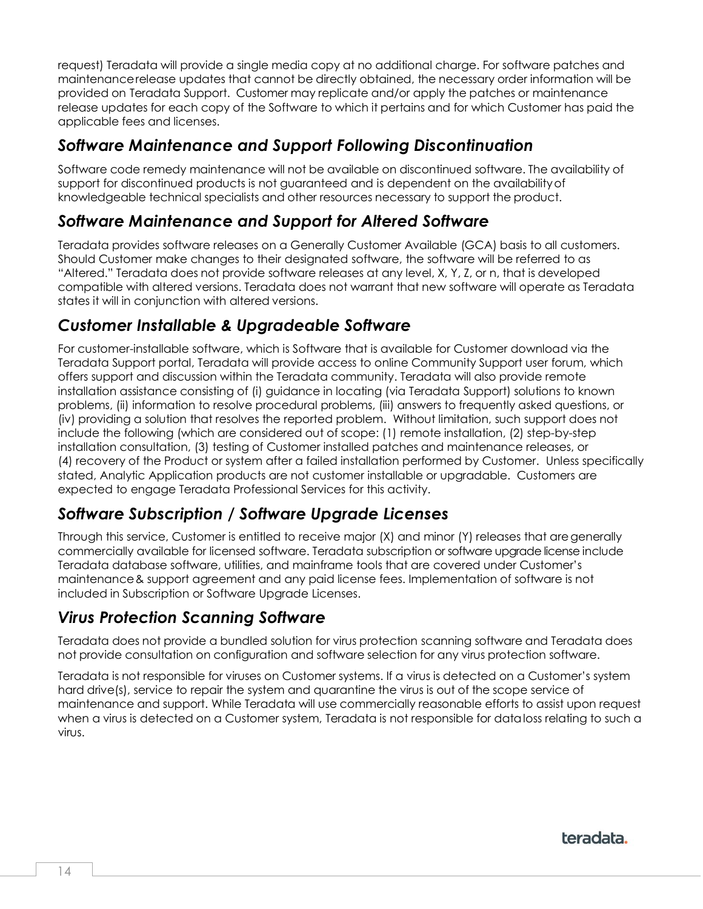request) Teradata will provide a single media copy at no additional charge. For software patches and maintenancerelease updates that cannot be directly obtained, the necessary order information will be provided on Teradata Support. Customer may replicate and/or apply the patches or maintenance release updates for each copy of the Software to which it pertains and for which Customer has paid the applicable fees and licenses.

# <span id="page-13-0"></span>*Software Maintenance and Support Following Discontinuation*

Software code remedy maintenance will not be available on discontinued software. The availability of support for discontinued products is not guaranteed and is dependent on the availabilityof knowledgeable technical specialists and other resources necessary to support the product.

### <span id="page-13-1"></span>*Software Maintenance and Support for Altered Software*

Teradata provides software releases on a Generally Customer Available (GCA) basis to all customers. Should Customer make changes to their designated software, the software will be referred to as "Altered." Teradata does not provide software releases at any level, X, Y, Z, or n, that is developed compatible with altered versions. Teradata does not warrant that new software will operate as Teradata states it will in conjunction with altered versions.

# <span id="page-13-2"></span>*Customer Installable & Upgradeable Software*

For customer-installable software, which is Software that is available for Customer download via the Teradata Support portal, Teradata will provide access to online Community Support user forum, which offers support and discussion within the Teradata community. Teradata will also provide remote installation assistance consisting of (i) guidance in locating (via Teradata Support) solutions to known problems, (ii) information to resolve procedural problems, (iii) answers to frequently asked questions, or (iv) providing a solution that resolves the reported problem. Without limitation, such support does not include the following (which are considered out of scope: (1) remote installation, (2) step-by-step installation consultation, (3) testing of Customer installed patches and maintenance releases, or (4) recovery of the Product or system after a failed installation performed by Customer. Unless specifically stated, Analytic Application products are not customer installable or upgradable. Customers are expected to engage Teradata Professional Services for this activity.

# <span id="page-13-3"></span>*Software Subscription / Software Upgrade Licenses*

Through this service, Customer is entitled to receive major (X) and minor (Y) releases that aregenerally commercially available for licensed software. Teradata subscription or software upgrade license include Teradata database software, utilities, and mainframe tools that are covered under Customer's maintenance& support agreement and any paid license fees. Implementation of software is not included in Subscription or Software Upgrade Licenses.

# <span id="page-13-4"></span>*Virus Protection Scanning Software*

Teradata does not provide a bundled solution for virus protection scanning software and Teradata does not provide consultation on configuration and software selection for any virus protection software.

<span id="page-13-5"></span>Teradata is not responsible for viruses on Customer systems. If a virus is detected on a Customer's system hard drive(s), service to repair the system and quarantine the virus is out of the scope service of maintenance and support. While Teradata will use commercially reasonable efforts to assist upon request when a virus is detected on a Customer system, Teradata is not responsible for dataloss relating to such a virus.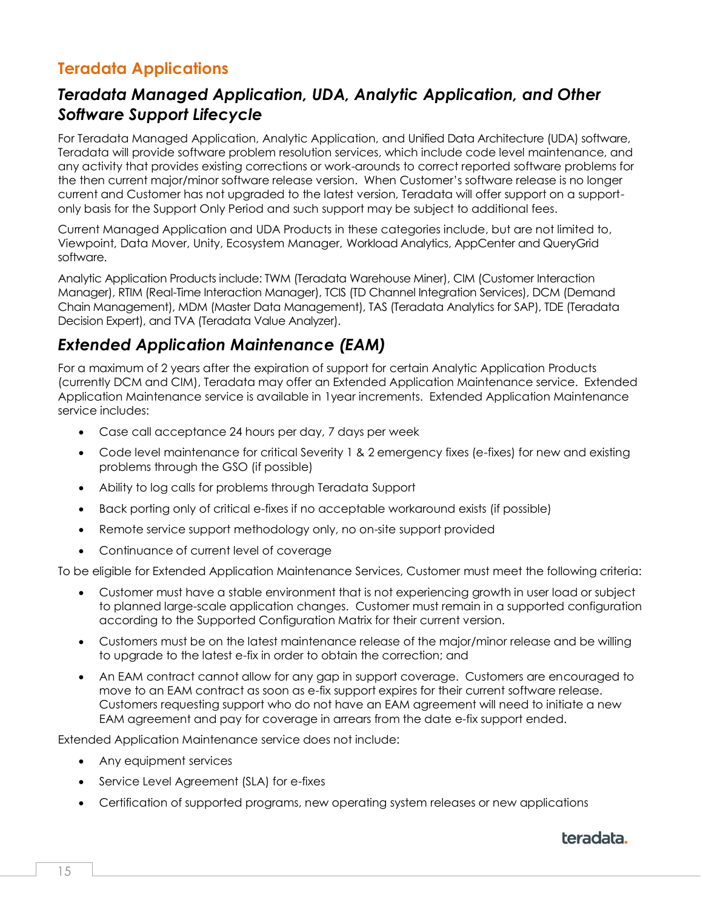# **Teradata Applications**

# <span id="page-14-0"></span>*Teradata Managed Application, UDA, Analytic Application, and Other Software Support Lifecycle*

For Teradata Managed Application, Analytic Application, and Unified Data Architecture (UDA) software, Teradata will provide software problem resolution services, which include code level maintenance, and any activity that provides existing corrections or work-arounds to correct reported software problems for the then current major/minor software release version. When Customer's software release is no longer current and Customer has not upgraded to the latest version, Teradata will offer support on a supportonly basis for the Support Only Period and such support may be subject to additional fees.

Current Managed Application and UDA Products in these categories include, but are not limited to, Viewpoint, Data Mover, Unity, Ecosystem Manager, Workload Analytics, AppCenter and QueryGrid software.

Analytic Application Products include: TWM (Teradata Warehouse Miner), CIM (Customer Interaction Manager), RTIM (Real-Time Interaction Manager), TCIS (TD Channel Integration Services), DCM (Demand Chain Management), MDM (Master Data Management), TAS (Teradata Analytics for SAP), TDE (Teradata Decision Expert), and TVA (Teradata Value Analyzer).

# <span id="page-14-1"></span>*Extended Application Maintenance (EAM)*

For a maximum of 2 years after the expiration of support for certain Analytic Application Products (currently DCM and CIM), Teradata may offer an Extended Application Maintenance service. Extended Application Maintenance service is available in 1year increments. Extended Application Maintenance service includes:

- Case call acceptance 24 hours per day, 7 days per week
- Code level maintenance for critical Severity 1 & 2 emergency fixes (e-fixes) for new and existing problems through the GSO (if possible)
- Ability to log calls for problems through Teradata Support
- Back porting only of critical e-fixes if no acceptable workaround exists (if possible)
- Remote service support methodology only, no on-site support provided
- Continuance of current level of coverage

To be eligible for Extended Application Maintenance Services, Customer must meet the following criteria:

- Customer must have a stable environment that is not experiencing growth in user load or subject to planned large-scale application changes. Customer must remain in a supported configuration according to the Supported Configuration Matrix for their current version.
- Customers must be on the latest maintenance release of the major/minor release and be willing to upgrade to the latest e-fix in order to obtain the correction; and
- An EAM contract cannot allow for any gap in support coverage. Customers are encouraged to move to an EAM contract as soon as e-fix support expires for their current software release. Customers requesting support who do not have an EAM agreement will need to initiate a new EAM agreement and pay for coverage in arrears from the date e-fix support ended.

Extended Application Maintenance service does not include:

- Any equipment services
- Service Level Agreement (SLA) for e-fixes
- Certification of supported programs, new operating system releases or new applications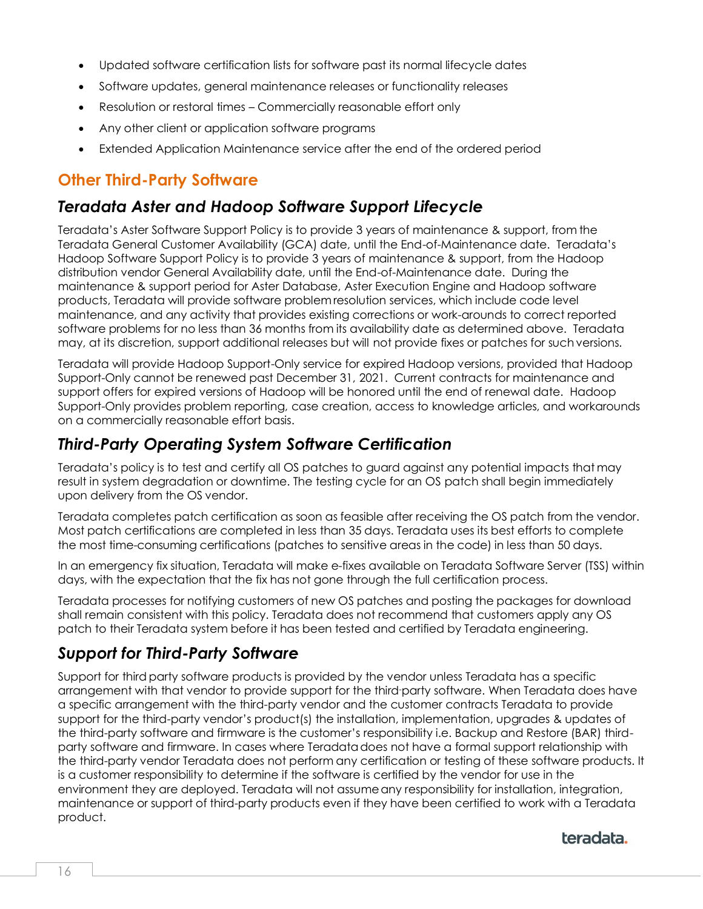- Updated software certification lists for software past its normal lifecycle dates
- Software updates, general maintenance releases or functionality releases
- Resolution or restoral times Commercially reasonable effort only
- Any other client or application software programs
- <span id="page-15-0"></span>• Extended Application Maintenance service after the end of the ordered period

### **Other Third-Party Software**

### <span id="page-15-1"></span>*Teradata Aster and Hadoop Software Support Lifecycle*

Teradata's Aster Software Support Policy is to provide 3 years of maintenance & support, from the Teradata General Customer Availability (GCA) date, until the End-of-Maintenance date. Teradata's Hadoop Software Support Policy is to provide 3 years of maintenance & support, from the Hadoop distribution vendor General Availability date, until the End-of-Maintenance date. During the maintenance & support period for Aster Database, Aster Execution Engine and Hadoop software products, Teradata will provide software problem resolution services, which include code level maintenance, and any activity that provides existing corrections or work-arounds to correct reported software problems for no less than 36 months from its availability date as determined above. Teradata may, at its discretion, support additional releases but will not provide fixes or patches for such versions.

Teradata will provide Hadoop Support-Only service for expired Hadoop versions, provided that Hadoop Support-Only cannot be renewed past December 31, 2021. Current contracts for maintenance and support offers for expired versions of Hadoop will be honored until the end of renewal date. Hadoop Support-Only provides problem reporting, case creation, access to knowledge articles, and workarounds on a commercially reasonable effort basis.

# <span id="page-15-2"></span>*Third-Party Operating System Software Certification*

Teradata's policy is to test and certify all OS patches to guard against any potential impacts that may result in system degradation or downtime. The testing cycle for an OS patch shall begin immediately upon delivery from the OS vendor.

Teradata completes patch certification as soon as feasible after receiving the OS patch from the vendor. Most patch certifications are completed in less than 35 days. Teradata uses its best efforts to complete the most time-consuming certifications (patches to sensitive areas in the code) in less than 50 days.

In an emergency fix situation, Teradata will make e-fixes available on Teradata Software Server (TSS) within days, with the expectation that the fix has not gone through the full certification process.

Teradata processes for notifying customers of new OS patches and posting the packages for download shall remain consistent with this policy. Teradata does not recommend that customers apply any OS patch to their Teradata system before it has been tested and certified by Teradata engineering.

### <span id="page-15-3"></span>*Support for Third-Party Software*

Support for third party software products is provided by the vendor unless Teradata has a specific arrangement with that vendor to provide support for the third-party software. When Teradata does have a specific arrangement with the third-party vendor and the customer contracts Teradata to provide support for the third-party vendor's product(s) the installation, implementation, upgrades & updates of the third-party software and firmware is the customer's responsibility i.e. Backup and Restore (BAR) thirdparty software and firmware. In cases where Teradatadoes not have a formal support relationship with the third-party vendor Teradata does not perform any certification or testing of these software products. It is a customer responsibility to determine if the software is certified by the vendor for use in the environment they are deployed. Teradata will not assumeany responsibility for installation, integration, maintenance or support of third-party products even if they have been certified to work with a Teradata product.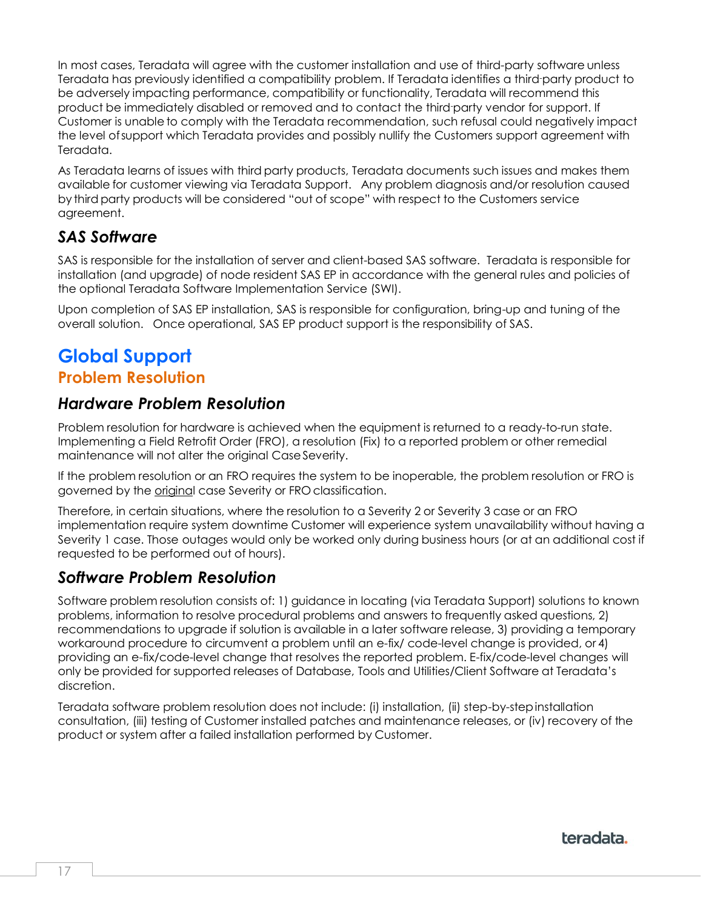In most cases, Teradata will agree with the customer installation and use of third-party software unless Teradata has previously identified a compatibility problem. If Teradata identifies a third-party product to be adversely impacting performance, compatibility or functionality, Teradata will recommend this product be immediately disabled or removed and to contact the third-party vendor for support. If Customer is unable to comply with the Teradata recommendation, such refusal could negatively impact the level ofsupport which Teradata provides and possibly nullify the Customers support agreement with Teradata.

As Teradata learns of issues with third party products, Teradata documents such issues and makes them available for customer viewing via Teradata Support. Any problem diagnosis and/or resolution caused by third party products will be considered "out of scope" with respect to the Customers service agreement.

# <span id="page-16-0"></span>*SAS Software*

SAS is responsible for the installation of server and client-based SAS software. Teradata is responsible for installation (and upgrade) of node resident SAS EP in accordance with the general rules and policies of the optional Teradata Software Implementation Service (SWI).

<span id="page-16-1"></span>Upon completion of SAS EP installation, SAS is responsible for configuration, bring-up and tuning of the overall solution. Once operational, SAS EP product support is the responsibility of SAS.

# <span id="page-16-2"></span>**Global Support Problem Resolution**

### <span id="page-16-3"></span>*Hardware Problem Resolution*

Problem resolution for hardware is achieved when the equipment is returned to a ready-to-run state. Implementing a Field Retrofit Order (FRO), a resolution (Fix) to a reported problem or other remedial maintenance will not alter the original Case Severity.

If the problem resolution or an FRO requires the system to be inoperable, the problem resolution or FRO is governed by the *original* case Severity or FRO classification.

Therefore, in certain situations, where the resolution to a Severity 2 or Severity 3 case or an FRO implementation require system downtime Customer will experience system unavailability without having a Severity 1 case. Those outages would only be worked only during business hours (or at an additional cost if requested to be performed out of hours).

### <span id="page-16-4"></span>*Software Problem Resolution*

Software problem resolution consists of: 1) guidance in locating (via Teradata Support) solutions to known problems, information to resolve procedural problems and answers to frequently asked questions, 2) recommendations to upgrade if solution is available in a later software release, 3) providing a temporary workaround procedure to circumvent a problem until an e-fix/ code-level change is provided, or 4) providing an e-fix/code-level change that resolves the reported problem. E-fix/code-level changes will only be provided for supported releases of Database, Tools and Utilities/Client Software at Teradata's discretion.

<span id="page-16-5"></span>Teradata software problem resolution does not include: (i) installation, (ii) step-by-stepinstallation consultation, (iii) testing of Customer installed patches and maintenance releases, or (iv) recovery of the product or system after a failed installation performed by Customer.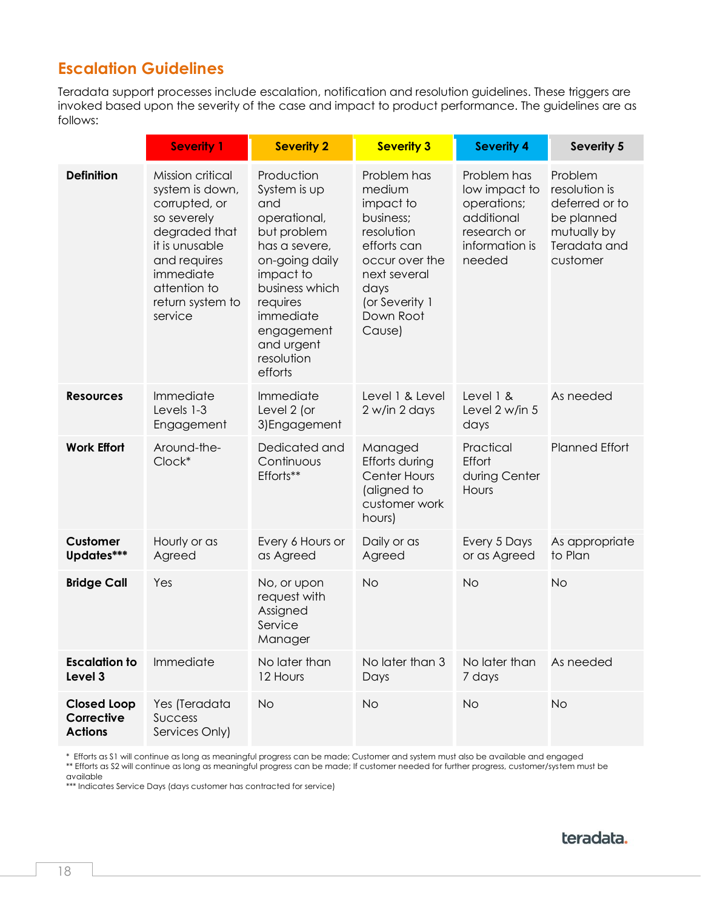# **Escalation Guidelines**

Teradata support processes include escalation, notification and resolution guidelines. These triggers are invoked based upon the severity of the case and impact to product performance. The guidelines are as follows:

|                                                    | <b>Severity 1</b>                                                                                                                                                                  | <b>Severity 2</b>                                                                                                                                                                                                | <b>Severity 3</b>                                                                                                                                               | <b>Severity 4</b>                                                                                    | <b>Severity 5</b>                                                                                   |
|----------------------------------------------------|------------------------------------------------------------------------------------------------------------------------------------------------------------------------------------|------------------------------------------------------------------------------------------------------------------------------------------------------------------------------------------------------------------|-----------------------------------------------------------------------------------------------------------------------------------------------------------------|------------------------------------------------------------------------------------------------------|-----------------------------------------------------------------------------------------------------|
| <b>Definition</b>                                  | Mission critical<br>system is down,<br>corrupted, or<br>so severely<br>degraded that<br>it is unusable<br>and requires<br>immediate<br>attention to<br>return system to<br>service | Production<br>System is up<br>and<br>operational,<br>but problem<br>has a severe,<br>on-going daily<br>impact to<br>business which<br>requires<br>immediate<br>engagement<br>and urgent<br>resolution<br>efforts | Problem has<br>medium<br>impact to<br>business;<br>resolution<br>efforts can<br>occur over the<br>next several<br>days<br>(or Severity 1<br>Down Root<br>Cause) | Problem has<br>low impact to<br>operations;<br>additional<br>research or<br>information is<br>needed | Problem<br>resolution is<br>deferred or to<br>be planned<br>mutually by<br>Teradata and<br>customer |
| <b>Resources</b>                                   | Immediate<br>Levels 1-3<br>Engagement                                                                                                                                              | Immediate<br>Level 2 (or<br>3) Engagement                                                                                                                                                                        | Level 1 & Level<br>2 w/in 2 days                                                                                                                                | Level 1 &<br>Level 2 w/in 5<br>days                                                                  | As needed                                                                                           |
| <b>Work Effort</b>                                 | Around-the-<br>Clock*                                                                                                                                                              | Dedicated and<br>Continuous<br>Efforts**                                                                                                                                                                         | Managed<br>Efforts during<br><b>Center Hours</b><br>(aligned to<br>customer work<br>hours)                                                                      | Practical<br>Effort<br>during Center<br>Hours                                                        | <b>Planned Effort</b>                                                                               |
| Customer<br>Updates***                             | Hourly or as<br>Agreed                                                                                                                                                             | Every 6 Hours or<br>as Agreed                                                                                                                                                                                    | Daily or as<br>Agreed                                                                                                                                           | Every 5 Days<br>or as Agreed                                                                         | As appropriate<br>to Plan                                                                           |
| <b>Bridge Call</b>                                 | Yes                                                                                                                                                                                | No, or upon<br>request with<br>Assigned<br>Service<br>Manager                                                                                                                                                    | <b>No</b>                                                                                                                                                       | <b>No</b>                                                                                            | <b>No</b>                                                                                           |
| <b>Escalation to</b><br>Level 3                    | Immediate                                                                                                                                                                          | No later than<br>12 Hours                                                                                                                                                                                        | No later than 3<br>Days                                                                                                                                         | No later than<br>7 days                                                                              | As needed                                                                                           |
| <b>Closed Loop</b><br>Corrective<br><b>Actions</b> | Yes (Teradata<br><b>Success</b><br>Services Only)                                                                                                                                  | <b>No</b>                                                                                                                                                                                                        | <b>No</b>                                                                                                                                                       | <b>No</b>                                                                                            | No                                                                                                  |

\* Efforts as S1 will continue as long as meaningful progress can be made; Customer and system must also be available and engaged

\*\* Efforts as S2 will continue as long as meaningful progress can be made; If customer needed for further progress, customer/system must be available

\*\*\* Indicates Service Days (days customer has contracted for service)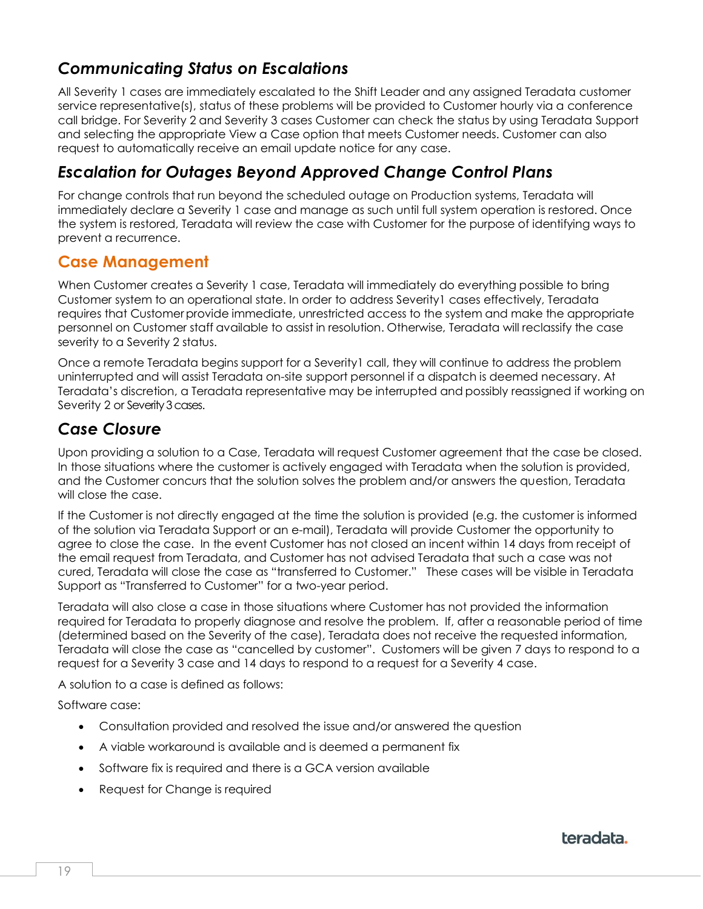# <span id="page-18-0"></span>*Communicating Status on Escalations*

All Severity 1 cases are immediately escalated to the Shift Leader and any assigned Teradata customer service representative(s), status of these problems will be provided to Customer hourly via a conference call bridge. For Severity 2 and Severity 3 cases Customer can check the status by using Teradata Support and selecting the appropriate View a Case option that meets Customer needs. Customer can also request to automatically receive an email update notice for any case.

# <span id="page-18-1"></span>*Escalation for Outages Beyond Approved Change Control Plans*

For change controls that run beyond the scheduled outage on Production systems, Teradata will immediately declare a Severity 1 case and manage as such until full system operation is restored. Once the system is restored, Teradata will review the case with Customer for the purpose of identifying ways to prevent a recurrence.

### <span id="page-18-2"></span>**Case Management**

When Customer creates a Severity 1 case, Teradata will immediately do everything possible to bring Customer system to an operational state. In order to address Severity1 cases effectively, Teradata requires that Customer provide immediate, unrestricted access to the system and make the appropriate personnel on Customer staff available to assist in resolution. Otherwise, Teradata will reclassify the case severity to a Severity 2 status.

Once a remote Teradata begins support for a Severity1 call, they will continue to address the problem uninterrupted and will assist Teradata on-site support personnel if a dispatch is deemed necessary. At Teradata's discretion, a Teradata representative may be interrupted and possibly reassigned if working on Severity 2 or Severity 3 cases.

# <span id="page-18-3"></span>*Case Closure*

Upon providing a solution to a Case, Teradata will request Customer agreement that the case be closed. In those situations where the customer is actively engaged with Teradata when the solution is provided, and the Customer concurs that the solution solves the problem and/or answers the question, Teradata will close the case.

If the Customer is not directly engaged at the time the solution is provided (e.g. the customer is informed of the solution via Teradata Support or an e-mail), Teradata will provide Customer the opportunity to agree to close the case. In the event Customer has not closed an incent within 14 days from receipt of the email request from Teradata, and Customer has not advised Teradata that such a case was not cured, Teradata will close the case as "transferred to Customer." These cases will be visible in Teradata Support as "Transferred to Customer" for a two-year period.

Teradata will also close a case in those situations where Customer has not provided the information required for Teradata to properly diagnose and resolve the problem. If, after a reasonable period of time (determined based on the Severity of the case), Teradata does not receive the requested information, Teradata will close the case as "cancelled by customer". Customers will be given 7 days to respond to a request for a Severity 3 case and 14 days to respond to a request for a Severity 4 case.

A solution to a case is defined as follows:

Software case:

- Consultation provided and resolved the issue and/or answered the question
- A viable workaround is available and is deemed a permanent fix
- Software fix is required and there is a GCA version available
- Request for Change is required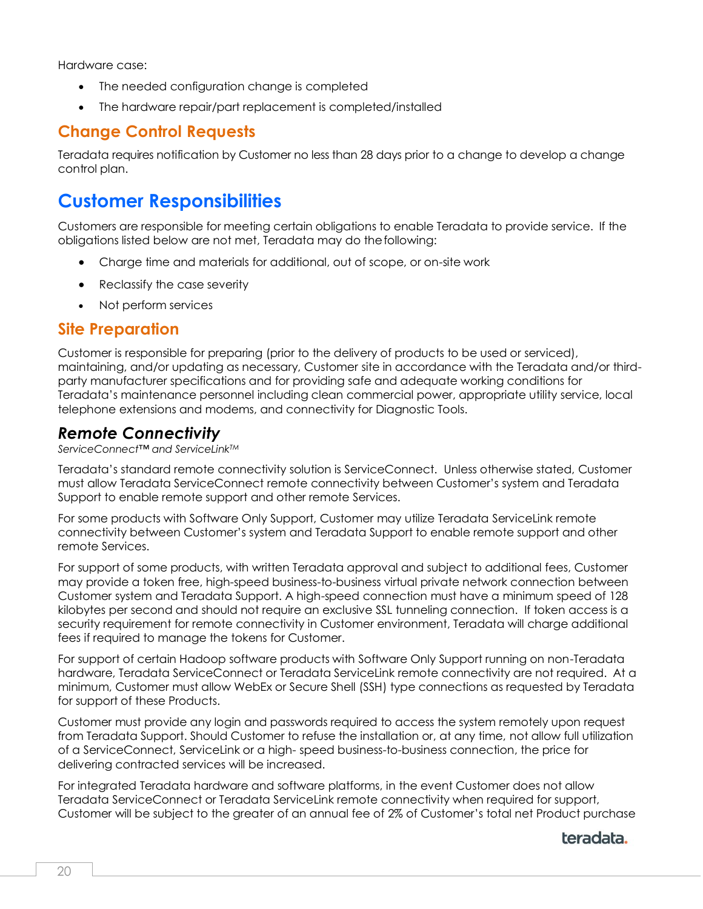Hardware case:

- The needed configuration change is completed
- The hardware repair/part replacement is completed/installed

### <span id="page-19-0"></span>**Change Control Requests**

Teradata requires notification by Customer no less than 28 days prior to a change to develop a change control plan.

# <span id="page-19-1"></span>**Customer Responsibilities**

Customers are responsible for meeting certain obligations to enable Teradata to provide service. If the obligations listed below are not met, Teradata may do thefollowing:

- Charge time and materials for additional, out of scope, or on-site work
- Reclassify the case severity
- Not perform services

#### <span id="page-19-2"></span>**Site Preparation**

Customer is responsible for preparing (prior to the delivery of products to be used or serviced), maintaining, and/or updating as necessary, Customer site in accordance with the Teradata and/or thirdparty manufacturer specifications and for providing safe and adequate working conditions for Teradata's maintenance personnel including clean commercial power, appropriate utility service, local telephone extensions and modems, and connectivity for Diagnostic Tools.

#### <span id="page-19-3"></span>*Remote Connectivity*

*ServiceConnect™ and ServiceLinkTM*

Teradata's standard remote connectivity solution is ServiceConnect. Unless otherwise stated, Customer must allow Teradata ServiceConnect remote connectivity between Customer's system and Teradata Support to enable remote support and other remote Services.

For some products with Software Only Support, Customer may utilize Teradata ServiceLink remote connectivity between Customer's system and Teradata Support to enable remote support and other remote Services.

For support of some products, with written Teradata approval and subject to additional fees, Customer may provide a token free, high-speed business-to-business virtual private network connection between Customer system and Teradata Support. A high-speed connection must have a minimum speed of 128 kilobytes per second and should not require an exclusive SSL tunneling connection. If token access is a security requirement for remote connectivity in Customer environment, Teradata will charge additional fees if required to manage the tokens for Customer.

For support of certain Hadoop software products with Software Only Support running on non-Teradata hardware, Teradata ServiceConnect or Teradata ServiceLink remote connectivity are not required. At a minimum, Customer must allow WebEx or Secure Shell (SSH) type connections as requested by Teradata for support of these Products.

Customer must provide any login and passwords required to access the system remotely upon request from Teradata Support. Should Customer to refuse the installation or, at any time, not allow full utilization of a ServiceConnect, ServiceLink or a high- speed business-to-business connection, the price for delivering contracted services will be increased.

For integrated Teradata hardware and software platforms, in the event Customer does not allow Teradata ServiceConnect or Teradata ServiceLink remote connectivity when required for support, Customer will be subject to the greater of an annual fee of 2% of Customer's total net Product purchase

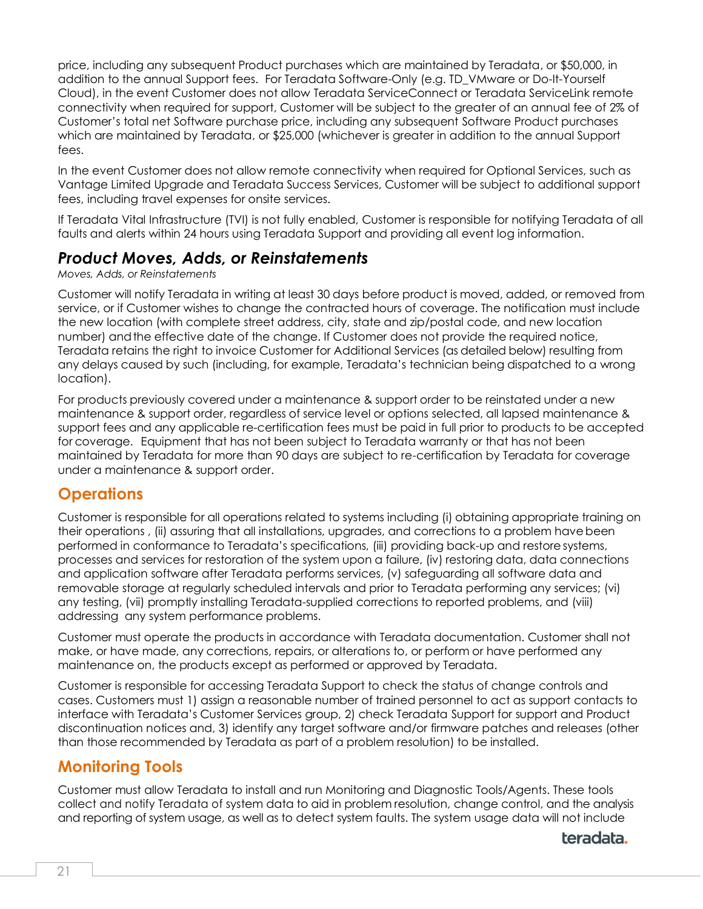price, including any subsequent Product purchases which are maintained by Teradata, or \$50,000, in addition to the annual Support fees. For Teradata Software-Only (e.g. TD\_VMware or Do-It-Yourself Cloud), in the event Customer does not allow Teradata ServiceConnect or Teradata ServiceLink remote connectivity when required for support, Customer will be subject to the greater of an annual fee of 2% of Customer's total net Software purchase price, including any subsequent Software Product purchases which are maintained by Teradata, or \$25,000 (whichever is greater in addition to the annual Support fees.

In the event Customer does not allow remote connectivity when required for Optional Services, such as Vantage Limited Upgrade and Teradata Success Services, Customer will be subject to additional support fees, including travel expenses for onsite services.

If Teradata Vital Infrastructure (TVI) is not fully enabled, Customer is responsible for notifying Teradata of all faults and alerts within 24 hours using Teradata Support and providing all event log information.

### <span id="page-20-0"></span>*Product Moves, Adds, or Reinstatements*

#### *Moves, Adds, or Reinstatements*

Customer will notify Teradata in writing at least 30 days before product is moved, added, or removed from service, or if Customer wishes to change the contracted hours of coverage. The notification must include the new location (with complete street address, city, state and zip/postal code, and new location number) andthe effective date of the change. If Customer does not provide the required notice, Teradata retains the right to invoice Customer for Additional Services (as detailed below) resulting from any delays caused by such (including, for example, Teradata's technician being dispatched to a wrong location).

For products previously covered under a maintenance & support order to be reinstated under a new maintenance & support order, regardless of service level or options selected, all lapsed maintenance & support fees and any applicable re-certification fees must be paid in full prior to products to be accepted for coverage. Equipment that has not been subject to Teradata warranty or that has not been maintained by Teradata for more than 90 days are subject to re-certification by Teradata for coverage under a maintenance & support order.

### <span id="page-20-1"></span>**Operations**

Customer is responsible for all operations related to systems including (i) obtaining appropriate training on their operations , (ii) assuring that all installations, upgrades, and corrections to a problem havebeen performed in conformance to Teradata's specifications, (iii) providing back-up and restore systems, processes and services for restoration of the system upon a failure, (iv) restoring data, data connections and application software after Teradata performs services, (v) safeguarding all software data and removable storage at regularly scheduled intervals and prior to Teradata performing any services; (vi) any testing, (vii) promptly installing Teradata-supplied corrections to reported problems, and (viii) addressing any system performance problems.

Customer must operate the products in accordance with Teradata documentation. Customer shall not make, or have made, any corrections, repairs, or alterations to, or perform or have performed any maintenance on, the products except as performed or approved by Teradata.

Customer is responsible for accessing Teradata Support to check the status of change controls and cases. Customers must 1) assign a reasonable number of trained personnel to act as support contacts to interface with Teradata's Customer Services group, 2) check Teradata Support for support and Product discontinuation notices and, 3) identify any target software and/or firmware patches and releases (other than those recommended by Teradata as part of a problem resolution) to be installed.

# <span id="page-20-2"></span>**Monitoring Tools**

Customer must allow Teradata to install and run Monitoring and Diagnostic Tools/Agents. These tools collect and notify Teradata of system data to aid in problem resolution, change control, and the analysis and reporting of system usage, as well as to detect system faults. The system usage data will not include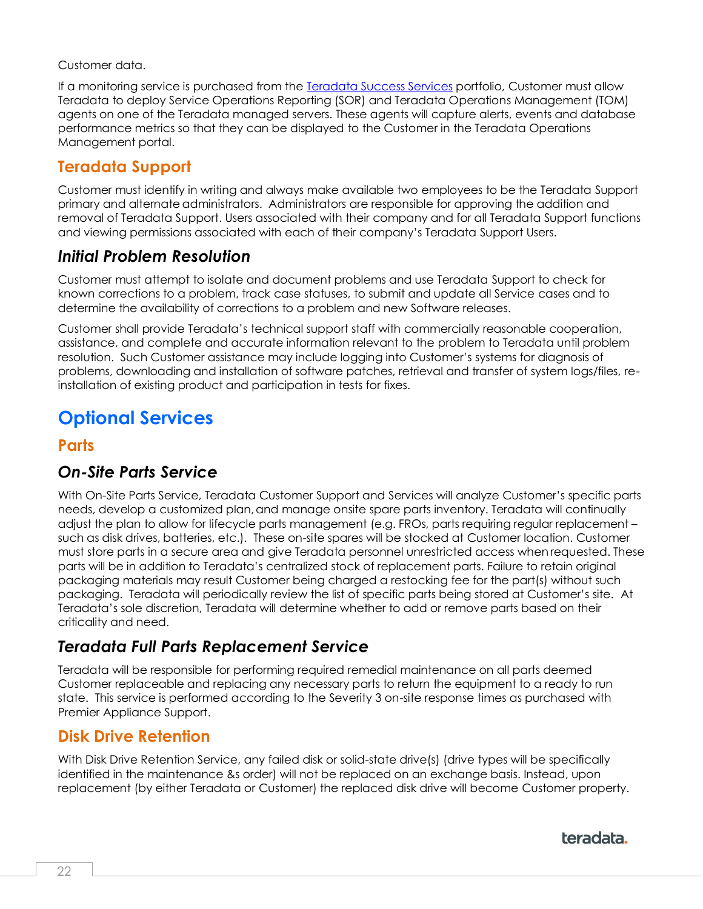Customer data.

If a monitoring service is purchased from the [Teradata Success Services](#page-23-0) portfolio, Customer must allow Teradata to deploy Service Operations Reporting (SOR) and Teradata Operations Management (TOM) agents on one of the Teradata managed servers. These agents will capture alerts, events and database performance metrics so that they can be displayed to the Customer in the Teradata Operations Management portal.

# <span id="page-21-0"></span>**Teradata Support**

Customer must identify in writing and always make available two employees to be the Teradata Support primary and alternate administrators. Administrators are responsible for approving the addition and removal of Teradata Support. Users associated with their company and for all Teradata Support functions and viewing permissions associated with each of their company's Teradata Support Users.

### <span id="page-21-1"></span>*Initial Problem Resolution*

Customer must attempt to isolate and document problems and use Teradata Support to check for known corrections to a problem, track case statuses, to submit and update all Service cases and to determine the availability of corrections to a problem and new Software releases.

Customer shall provide Teradata's technical support staff with commercially reasonable cooperation, assistance, and complete and accurate information relevant to the problem to Teradata until problem resolution. Such Customer assistance may include logging into Customer's systems for diagnosis of problems, downloading and installation of software patches, retrieval and transfer of system logs/files, reinstallation of existing product and participation in tests for fixes.

# <span id="page-21-2"></span>**Optional Services**

#### <span id="page-21-3"></span>**Parts**

### <span id="page-21-4"></span>*On-Site Parts Service*

With On-Site Parts Service, Teradata Customer Support and Services will analyze Customer's specific parts needs, develop a customized plan, and manage onsite spare parts inventory. Teradata will continually adjust the plan to allow for lifecycle parts management (e.g. FROs, parts requiring regular replacement – such as disk drives, batteries, etc.). These on-site spares will be stocked at Customer location. Customer must store parts in a secure area and give Teradata personnel unrestricted access whenrequested. These parts will be in addition to Teradata's centralized stock of replacement parts. Failure to retain original packaging materials may result Customer being charged a restocking fee for the part(s) without such packaging. Teradata will periodically review the list of specific parts being stored at Customer's site. At Teradata's sole discretion, Teradata will determine whether to add or remove parts based on their criticality and need.

# <span id="page-21-5"></span>*Teradata Full Parts Replacement Service*

Teradata will be responsible for performing required remedial maintenance on all parts deemed Customer replaceable and replacing any necessary parts to return the equipment to a ready to run state. This service is performed according to the Severity 3 on-site response times as purchased with Premier Appliance Support.

### <span id="page-21-6"></span>**Disk Drive Retention**

<span id="page-21-7"></span>With Disk Drive Retention Service, any failed disk or solid-state drive(s) (drive types will be specifically identified in the maintenance &s order) will not be replaced on an exchange basis. Instead, upon replacement (by either Teradata or Customer) the replaced disk drive will become Customer property.

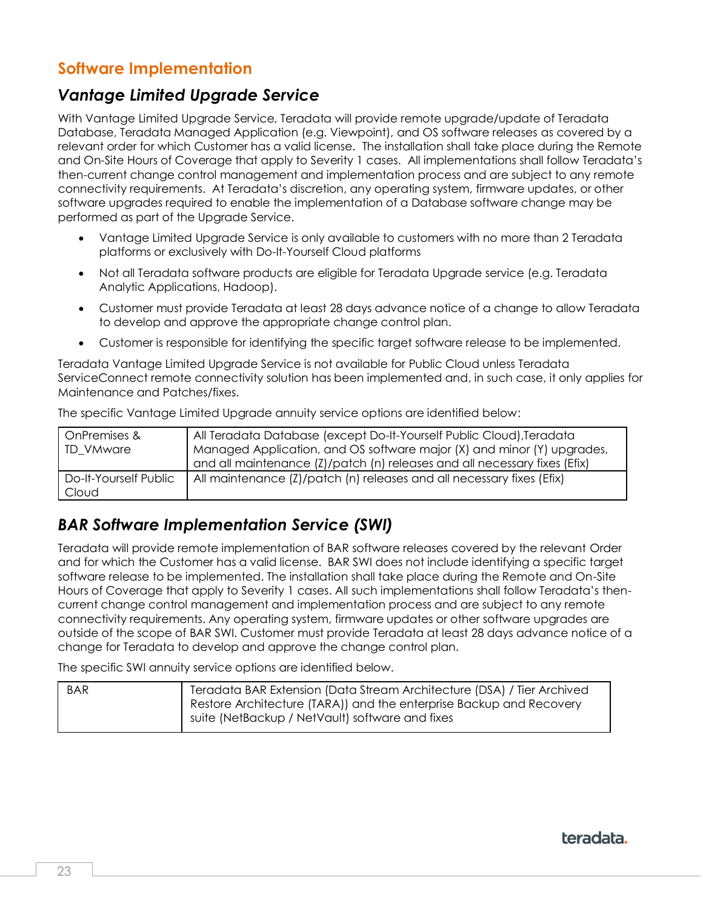# **Software Implementation**

### <span id="page-22-0"></span>*Vantage Limited Upgrade Service*

With Vantage Limited Upgrade Service, Teradata will provide remote upgrade/update of Teradata Database, Teradata Managed Application (e.g. Viewpoint), and OS software releases as covered by a relevant order for which Customer has a valid license. The installation shall take place during the Remote and On-Site Hours of Coverage that apply to Severity 1 cases. All implementations shall follow Teradata's then-current change control management and implementation process and are subject to any remote connectivity requirements. At Teradata's discretion, any operating system, firmware updates, or other software upgrades required to enable the implementation of a Database software change may be performed as part of the Upgrade Service.

- Vantage Limited Upgrade Service is only available to customers with no more than 2 Teradata platforms or exclusively with Do-It-Yourself Cloud platforms
- Not all Teradata software products are eligible for Teradata Upgrade service (e.g. Teradata Analytic Applications, Hadoop).
- Customer must provide Teradata at least 28 days advance notice of a change to allow Teradata to develop and approve the appropriate change control plan.
- Customer is responsible for identifying the specific target software release to be implemented.

Teradata Vantage Limited Upgrade Service is not available for Public Cloud unless Teradata ServiceConnect remote connectivity solution has been implemented and, in such case, it only applies for Maintenance and Patches/fixes.

The specific Vantage Limited Upgrade annuity service options are identified below:

| OnPremises &          | All Teradata Database (except Do-It-Yourself Public Cloud), Teradata      |
|-----------------------|---------------------------------------------------------------------------|
| <b>TD VMware</b>      | Managed Application, and OS software major (X) and minor (Y) upgrades,    |
|                       | and all maintenance (Z)/patch (n) releases and all necessary fixes (Efix) |
| Do-It-Yourself Public | All maintenance (Z)/patch (n) releases and all necessary fixes (Efix)     |
| Cloud                 |                                                                           |

# <span id="page-22-1"></span>*BAR Software Implementation Service (SWI)*

Teradata will provide remote implementation of BAR software releases covered by the relevant Order and for which the Customer has a valid license. BAR SWI does not include identifying a specific target software release to be implemented. The installation shall take place during the Remote and On-Site Hours of Coverage that apply to Severity 1 cases. All such implementations shall follow Teradata's thencurrent change control management and implementation process and are subject to any remote connectivity requirements. Any operating system, firmware updates or other software upgrades are outside of the scope of BAR SWI. Customer must provide Teradata at least 28 days advance notice of a change for Teradata to develop and approve the change control plan.

The specific SWI annuity service options are identified below.

<span id="page-22-2"></span>

| <b>BAR</b> | Teradata BAR Extension (Data Stream Architecture (DSA) / Tier Archived<br>Restore Architecture (TARA)) and the enterprise Backup and Recovery |
|------------|-----------------------------------------------------------------------------------------------------------------------------------------------|
|            | suite (NetBackup / NetVault) software and fixes                                                                                               |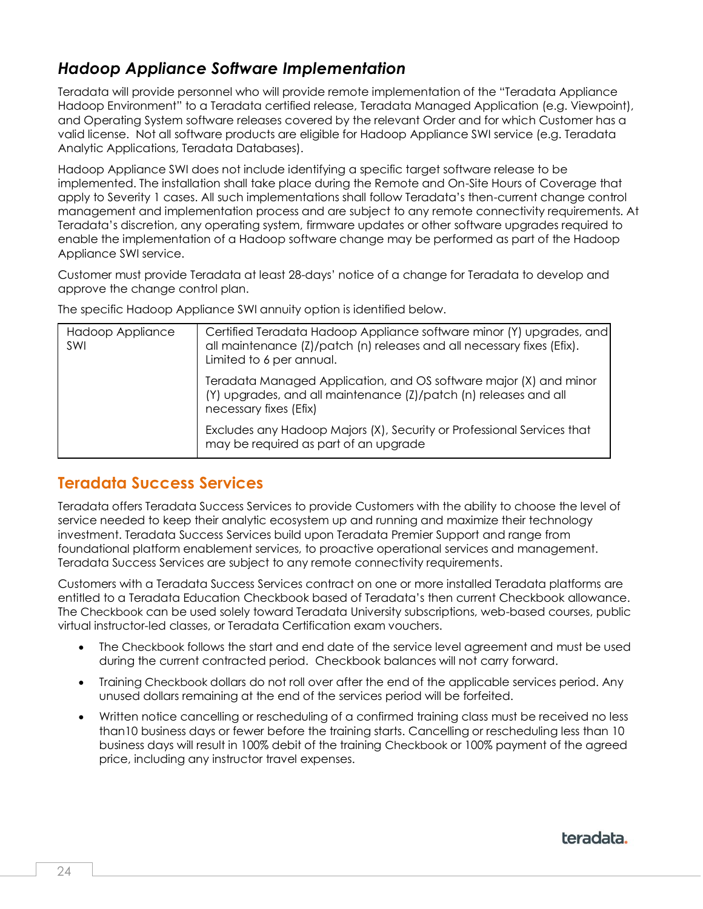# *Hadoop Appliance Software Implementation*

Teradata will provide personnel who will provide remote implementation of the "Teradata Appliance Hadoop Environment" to a Teradata certified release, Teradata Managed Application (e.g. Viewpoint), and Operating System software releases covered by the relevant Order and for which Customer has a valid license. Not all software products are eligible for Hadoop Appliance SWI service (e.g. Teradata Analytic Applications, Teradata Databases).

Hadoop Appliance SWI does not include identifying a specific target software release to be implemented. The installation shall take place during the Remote and On-Site Hours of Coverage that apply to Severity 1 cases. All such implementations shall follow Teradata's then-current change control management and implementation process and are subject to any remote connectivity requirements. At Teradata's discretion, any operating system, firmware updates or other software upgrades required to enable the implementation of a Hadoop software change may be performed as part of the Hadoop Appliance SWI service.

Customer must provide Teradata at least 28-days' notice of a change for Teradata to develop and approve the change control plan.

The specific Hadoop Appliance SWI annuity option is identified below.

| Hadoop Appliance<br>SWI | Certified Teradata Hadoop Appliance software minor (Y) upgrades, and<br>all maintenance (Z)/patch (n) releases and all necessary fixes (Efix).<br>Limited to 6 per annual. |
|-------------------------|----------------------------------------------------------------------------------------------------------------------------------------------------------------------------|
|                         | Teradata Managed Application, and OS software major (X) and minor<br>(Y) upgrades, and all maintenance (Z)/patch (n) releases and all<br>necessary fixes (Efix)            |
|                         | Excludes any Hadoop Majors (X), Security or Professional Services that<br>may be required as part of an upgrade                                                            |

### <span id="page-23-0"></span>**Teradata Success Services**

Teradata offers Teradata Success Services to provide Customers with the ability to choose the level of service needed to keep their analytic ecosystem up and running and maximize their technology investment. Teradata Success Services build upon Teradata Premier Support and range from foundational platform enablement services, to proactive operational services and management. Teradata Success Services are subject to any remote connectivity requirements.

Customers with a Teradata Success Services contract on one or more installed Teradata platforms are entitled to a Teradata Education Checkbook based of Teradata's then current Checkbook allowance. The Checkbook can be used solely toward Teradata University subscriptions, web-based courses, public virtual instructor-led classes, or Teradata Certification exam vouchers.

- The Checkbook follows the start and end date of the service level agreement and must be used during the current contracted period. Checkbook balances will not carry forward.
- Training Checkbook dollars do not roll over after the end of the applicable services period. Any unused dollars remaining at the end of the services period will be forfeited.
- <span id="page-23-1"></span>• Written notice cancelling or rescheduling of a confirmed training class must be received no less than10 business days or fewer before the training starts. Cancelling or rescheduling less than 10 business days will result in 100% debit of the training Checkbook or 100% payment of the agreed price, including any instructor travel expenses.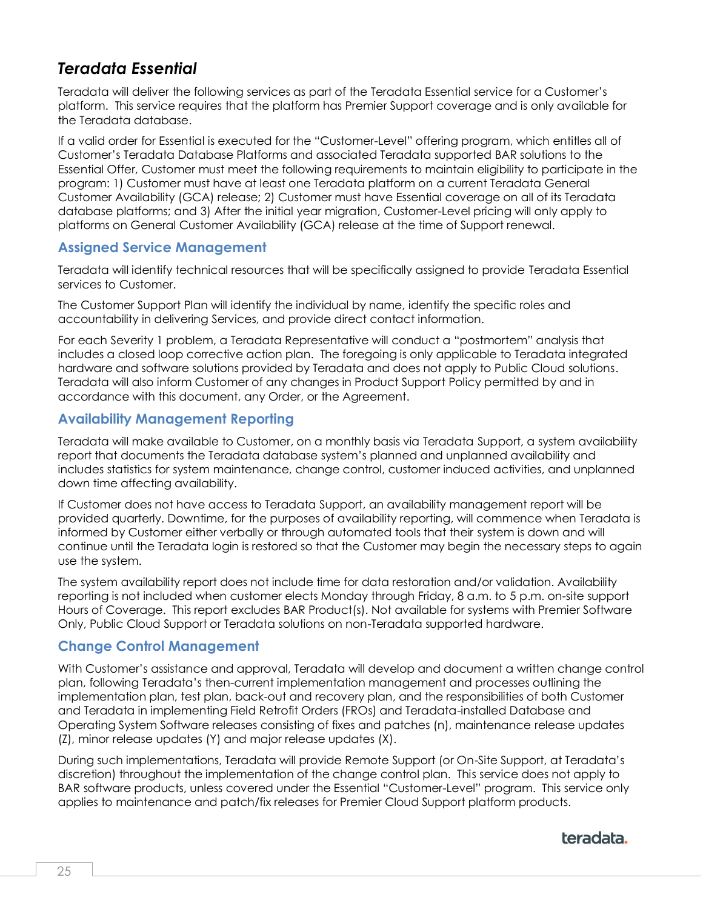# *Teradata Essential*

Teradata will deliver the following services as part of the Teradata Essential service for a Customer's platform. This service requires that the platform has Premier Support coverage and is only available for the Teradata database.

If a valid order for Essential is executed for the "Customer-Level" offering program, which entitles all of Customer's Teradata Database Platforms and associated Teradata supported BAR solutions to the Essential Offer, Customer must meet the following requirements to maintain eligibility to participate in the program: 1) Customer must have at least one Teradata platform on a current Teradata General Customer Availability (GCA) release; 2) Customer must have Essential coverage on all of its Teradata database platforms; and 3) After the initial year migration, Customer-Level pricing will only apply to platforms on General Customer Availability (GCA) release at the time of Support renewal.

#### **Assigned Service Management**

Teradata will identify technical resources that will be specifically assigned to provide Teradata Essential services to Customer.

The Customer Support Plan will identify the individual by name, identify the specific roles and accountability in delivering Services, and provide direct contact information.

For each Severity 1 problem, a Teradata Representative will conduct a "postmortem" analysis that includes a closed loop corrective action plan. The foregoing is only applicable to Teradata integrated hardware and software solutions provided by Teradata and does not apply to Public Cloud solutions. Teradata will also inform Customer of any changes in Product Support Policy permitted by and in accordance with this document, any Order, or the Agreement.

#### **Availability Management Reporting**

Teradata will make available to Customer, on a monthly basis via Teradata Support, a system availability report that documents the Teradata database system's planned and unplanned availability and includes statistics for system maintenance, change control, customer induced activities, and unplanned down time affecting availability.

If Customer does not have access to Teradata Support, an availability management report will be provided quarterly. Downtime, for the purposes of availability reporting, will commence when Teradata is informed by Customer either verbally or through automated tools that their system is down and will continue until the Teradata login is restored so that the Customer may begin the necessary steps to again use the system.

The system availability report does not include time for data restoration and/or validation. Availability reporting is not included when customer elects Monday through Friday, 8 a.m. to 5 p.m. on-site support Hours of Coverage. This report excludes BAR Product(s). Not available for systems with Premier Software Only, Public Cloud Support or Teradata solutions on non-Teradata supported hardware.

#### **Change Control Management**

With Customer's assistance and approval, Teradata will develop and document a written change control plan, following Teradata's then-current implementation management and processes outlining the implementation plan, test plan, back-out and recovery plan, and the responsibilities of both Customer and Teradata in implementing Field Retrofit Orders (FROs) and Teradata-installed Database and Operating System Software releases consisting of fixes and patches (n), maintenance release updates (Z), minor release updates (Y) and major release updates (X).

During such implementations, Teradata will provide Remote Support (or On-Site Support, at Teradata's discretion) throughout the implementation of the change control plan. This service does not apply to BAR software products, unless covered under the Essential "Customer-Level" program. This service only applies to maintenance and patch/fix releases for Premier Cloud Support platform products.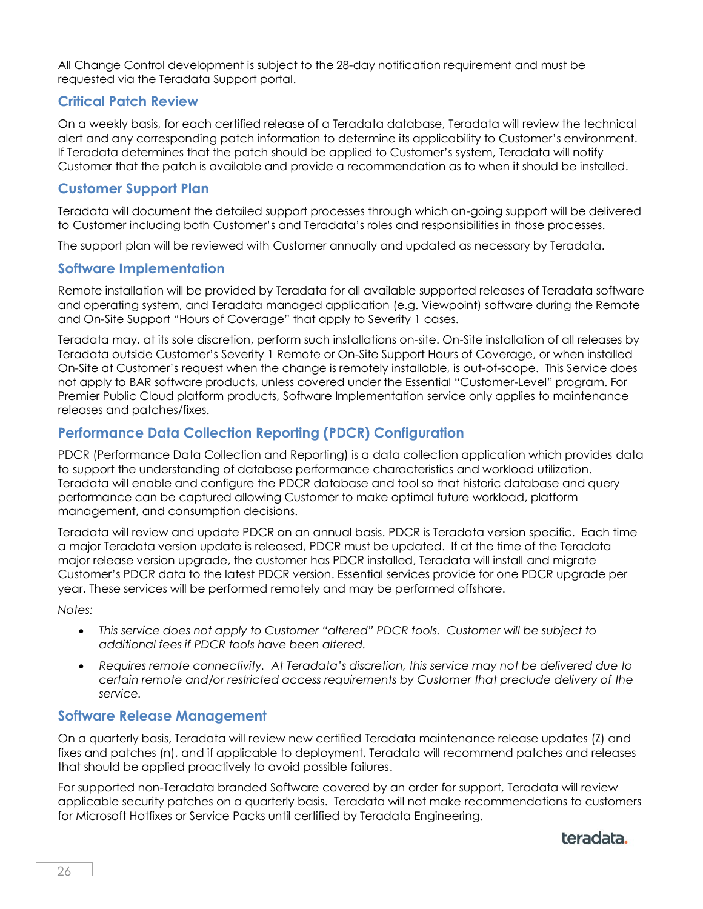All Change Control development is subject to the 28-day notification requirement and must be requested via the Teradata Support portal.

#### **Critical Patch Review**

On a weekly basis, for each certified release of a Teradata database, Teradata will review the technical alert and any corresponding patch information to determine its applicability to Customer's environment. If Teradata determines that the patch should be applied to Customer's system, Teradata will notify Customer that the patch is available and provide a recommendation as to when it should be installed.

#### **Customer Support Plan**

Teradata will document the detailed support processes through which on-going support will be delivered to Customer including both Customer's and Teradata's roles and responsibilities in those processes.

The support plan will be reviewed with Customer annually and updated as necessary by Teradata.

#### **Software Implementation**

Remote installation will be provided by Teradata for all available supported releases of Teradata software and operating system, and Teradata managed application (e.g. Viewpoint) software during the Remote and On-Site Support "Hours of Coverage" that apply to Severity 1 cases.

Teradata may, at its sole discretion, perform such installations on-site. On-Site installation of all releases by Teradata outside Customer's Severity 1 Remote or On-Site Support Hours of Coverage, or when installed On-Site at Customer's request when the change is remotely installable, is out-of-scope. This Service does not apply to BAR software products, unless covered under the Essential "Customer-Level" program. For Premier Public Cloud platform products, Software Implementation service only applies to maintenance releases and patches/fixes.

#### **Performance Data Collection Reporting (PDCR) Configuration**

PDCR (Performance Data Collection and Reporting) is a data collection application which provides data to support the understanding of database performance characteristics and workload utilization. Teradata will enable and configure the PDCR database and tool so that historic database and query performance can be captured allowing Customer to make optimal future workload, platform management, and consumption decisions.

Teradata will review and update PDCR on an annual basis. PDCR is Teradata version specific. Each time a major Teradata version update is released, PDCR must be updated. If at the time of the Teradata major release version upgrade, the customer has PDCR installed, Teradata will install and migrate Customer's PDCR data to the latest PDCR version. Essential services provide for one PDCR upgrade per year. These services will be performed remotely and may be performed offshore.

*Notes:* 

- *This service does not apply to Customer "altered" PDCR tools. Customer will be subject to additional fees if PDCR tools have been altered.*
- *Requires remote connectivity. At Teradata's discretion, this service may not be delivered due to certain remote and/or restricted access requirements by Customer that preclude delivery of the service.*

#### **Software Release Management**

On a quarterly basis, Teradata will review new certified Teradata maintenance release updates (Z) and fixes and patches (n), and if applicable to deployment, Teradata will recommend patches and releases that should be applied proactively to avoid possible failures.

For supported non-Teradata branded Software covered by an order for support, Teradata will review applicable security patches on a quarterly basis. Teradata will not make recommendations to customers for Microsoft Hotfixes or Service Packs until certified by Teradata Engineering.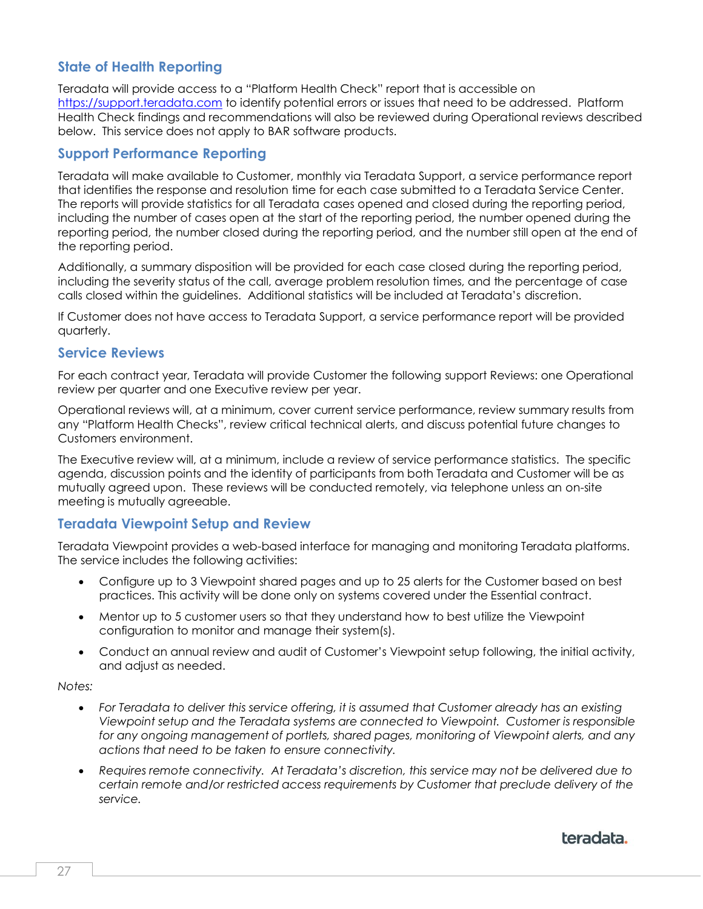#### **State of Health Reporting**

Teradata will provide access to a "Platform Health Check" report that is accessible on [https://support.teradata.com](https://support.teradata.com/) to identify potential errors or issues that need to be addressed. Platform Health Check findings and recommendations will also be reviewed during Operational reviews described below. This service does not apply to BAR software products.

#### **Support Performance Reporting**

Teradata will make available to Customer, monthly via Teradata Support, a service performance report that identifies the response and resolution time for each case submitted to a Teradata Service Center. The reports will provide statistics for all Teradata cases opened and closed during the reporting period, including the number of cases open at the start of the reporting period, the number opened during the reporting period, the number closed during the reporting period, and the number still open at the end of the reporting period.

Additionally, a summary disposition will be provided for each case closed during the reporting period, including the severity status of the call, average problem resolution times, and the percentage of case calls closed within the guidelines. Additional statistics will be included at Teradata's discretion.

If Customer does not have access to Teradata Support, a service performance report will be provided quarterly.

#### **Service Reviews**

For each contract year, Teradata will provide Customer the following support Reviews: one Operational review per quarter and one Executive review per year.

Operational reviews will, at a minimum, cover current service performance, review summary results from any "Platform Health Checks", review critical technical alerts, and discuss potential future changes to Customers environment.

The Executive review will, at a minimum, include a review of service performance statistics. The specific agenda, discussion points and the identity of participants from both Teradata and Customer will be as mutually agreed upon. These reviews will be conducted remotely, via telephone unless an on-site meeting is mutually agreeable.

#### **Teradata Viewpoint Setup and Review**

Teradata Viewpoint provides a web-based interface for managing and monitoring Teradata platforms. The service includes the following activities:

- Configure up to 3 Viewpoint shared pages and up to 25 alerts for the Customer based on best practices. This activity will be done only on systems covered under the Essential contract.
- Mentor up to 5 customer users so that they understand how to best utilize the Viewpoint configuration to monitor and manage their system(s).
- Conduct an annual review and audit of Customer's Viewpoint setup following, the initial activity, and adjust as needed.

#### *Notes:*

- *For Teradata to deliver this service offering, it is assumed that Customer already has an existing Viewpoint setup and the Teradata systems are connected to Viewpoint. Customer is responsible for any ongoing management of portlets, shared pages, monitoring of Viewpoint alerts, and any actions that need to be taken to ensure connectivity.*
- *Requires remote connectivity. At Teradata's discretion, this service may not be delivered due to certain remote and/or restricted access requirements by Customer that preclude delivery of the service.*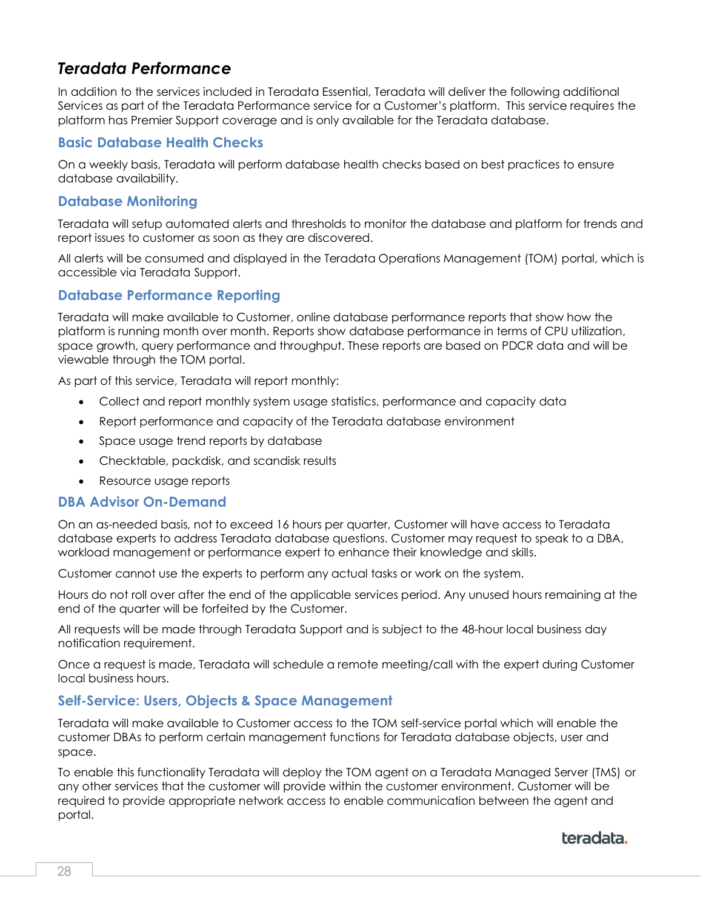# <span id="page-27-0"></span>*Teradata Performance*

In addition to the services included in Teradata Essential, Teradata will deliver the following additional Services as part of the Teradata Performance service for a Customer's platform. This service requires the platform has Premier Support coverage and is only available for the Teradata database.

#### **Basic Database Health Checks**

On a weekly basis, Teradata will perform database health checks based on best practices to ensure database availability.

#### **Database Monitoring**

Teradata will setup automated alerts and thresholds to monitor the database and platform for trends and report issues to customer as soon as they are discovered.

All alerts will be consumed and displayed in the Teradata Operations Management (TOM) portal, which is accessible via Teradata Support.

#### **Database Performance Reporting**

Teradata will make available to Customer, online database performance reports that show how the platform is running month over month. Reports show database performance in terms of CPU utilization, space growth, query performance and throughput. These reports are based on PDCR data and will be viewable through the TOM portal.

As part of this service, Teradata will report monthly:

- Collect and report monthly system usage statistics, performance and capacity data
- Report performance and capacity of the Teradata database environment
- Space usage trend reports by database
- Checktable, packdisk, and scandisk results
- Resource usage reports

#### **DBA Advisor On-Demand**

On an as-needed basis, not to exceed 16 hours per quarter, Customer will have access to Teradata database experts to address Teradata database questions. Customer may request to speak to a DBA, workload management or performance expert to enhance their knowledge and skills.

Customer cannot use the experts to perform any actual tasks or work on the system.

Hours do not roll over after the end of the applicable services period. Any unused hours remaining at the end of the quarter will be forfeited by the Customer.

All requests will be made through Teradata Support and is subject to the 48-hour local business day notification requirement.

Once a request is made, Teradata will schedule a remote meeting/call with the expert during Customer local business hours.

#### **Self-Service: Users, Objects & Space Management**

Teradata will make available to Customer access to the TOM self-service portal which will enable the customer DBAs to perform certain management functions for Teradata database objects, user and space.

To enable this functionality Teradata will deploy the TOM agent on a Teradata Managed Server (TMS) or any other services that the customer will provide within the customer environment. Customer will be required to provide appropriate network access to enable communication between the agent and portal.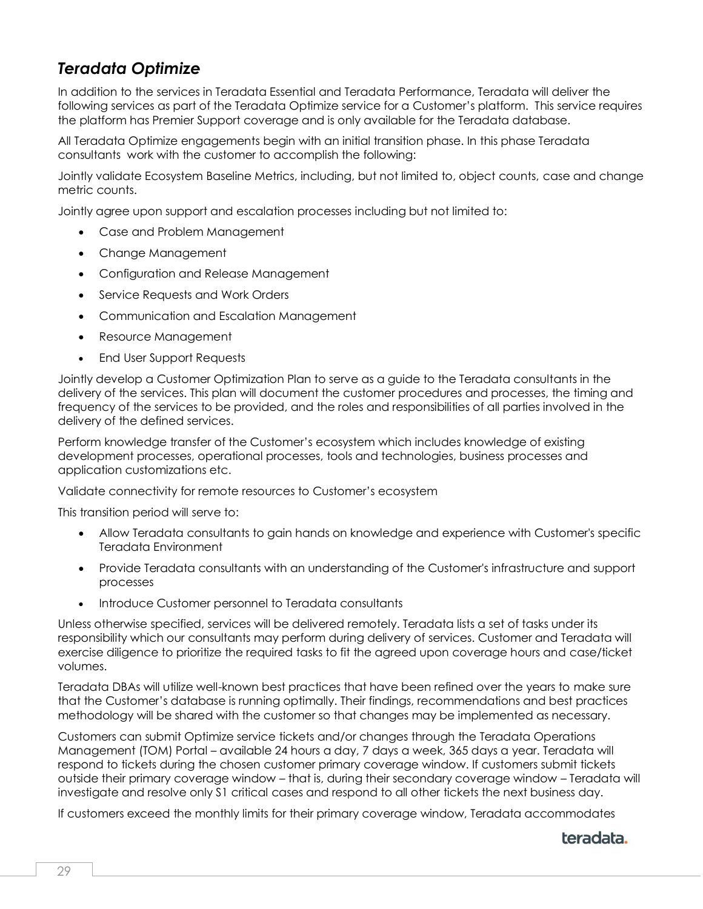# <span id="page-28-0"></span>*Teradata Optimize*

In addition to the services in Teradata Essential and Teradata Performance, Teradata will deliver the following services as part of the Teradata Optimize service for a Customer's platform. This service requires the platform has Premier Support coverage and is only available for the Teradata database.

All Teradata Optimize engagements begin with an initial transition phase. In this phase Teradata consultants work with the customer to accomplish the following:

Jointly validate Ecosystem Baseline Metrics, including, but not limited to, object counts, case and change metric counts.

Jointly agree upon support and escalation processes including but not limited to:

- Case and Problem Management
- Change Management
- Configuration and Release Management
- Service Requests and Work Orders
- Communication and Escalation Management
- Resource Management
- End User Support Requests

Jointly develop a Customer Optimization Plan to serve as a guide to the Teradata consultants in the delivery of the services. This plan will document the customer procedures and processes, the timing and frequency of the services to be provided, and the roles and responsibilities of all parties involved in the delivery of the defined services.

Perform knowledge transfer of the Customer's ecosystem which includes knowledge of existing development processes, operational processes, tools and technologies, business processes and application customizations etc.

Validate connectivity for remote resources to Customer's ecosystem

This transition period will serve to:

- Allow Teradata consultants to gain hands on knowledge and experience with Customer's specific Teradata Environment
- Provide Teradata consultants with an understanding of the Customer's infrastructure and support processes
- Introduce Customer personnel to Teradata consultants

Unless otherwise specified, services will be delivered remotely. Teradata lists a set of tasks under its responsibility which our consultants may perform during delivery of services. Customer and Teradata will exercise diligence to prioritize the required tasks to fit the agreed upon coverage hours and case/ticket volumes.

Teradata DBAs will utilize well-known best practices that have been refined over the years to make sure that the Customer's database is running optimally. Their findings, recommendations and best practices methodology will be shared with the customer so that changes may be implemented as necessary.

Customers can submit Optimize service tickets and/or changes through the Teradata Operations Management (TOM) Portal – available 24 hours a day, 7 days a week, 365 days a year. Teradata will respond to tickets during the chosen customer primary coverage window. If customers submit tickets outside their primary coverage window – that is, during their secondary coverage window – Teradata will investigate and resolve only S1 critical cases and respond to all other tickets the next business day.

If customers exceed the monthly limits for their primary coverage window, Teradata accommodates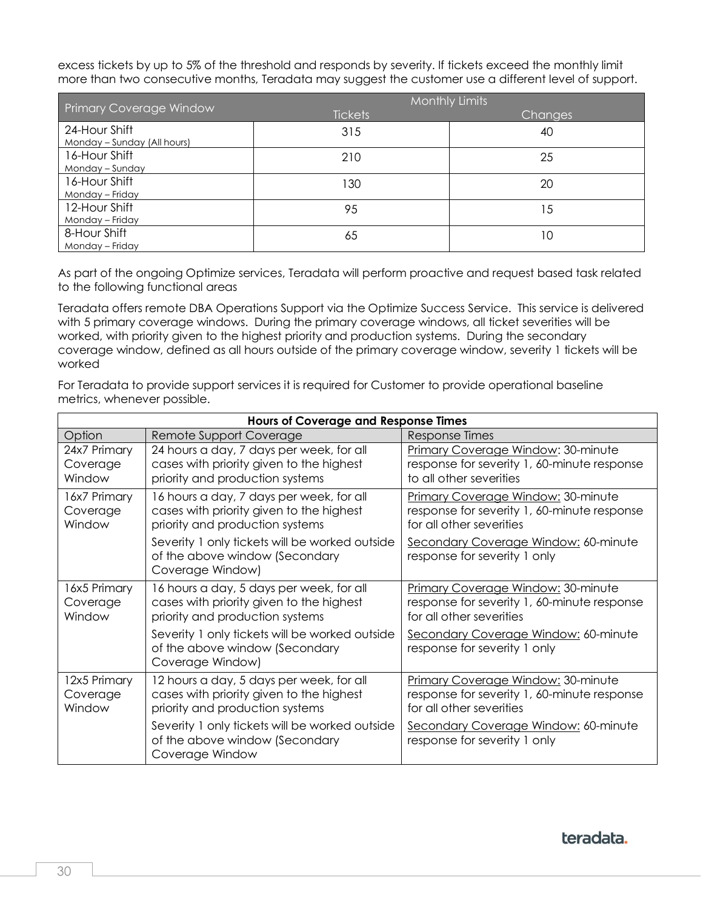excess tickets by up to 5% of the threshold and responds by severity. If tickets exceed the monthly limit more than two consecutive months, Teradata may suggest the customer use a different level of support.

| <b>Primary Coverage Window</b>               | Monthly Limits |                |  |
|----------------------------------------------|----------------|----------------|--|
|                                              | <b>Tickets</b> | <b>Changes</b> |  |
| 24-Hour Shift<br>Monday - Sunday (All hours) | 315            | 40             |  |
| 16-Hour Shift<br>Monday - Sunday             | 210            | 25             |  |
| 16-Hour Shift<br>Monday - Friday             | 130            | 20             |  |
| 12-Hour Shift<br>Monday – Friday             | 95             | 15             |  |
| 8-Hour Shift<br>Monday - Friday              | 65             | 10             |  |

As part of the ongoing Optimize services, Teradata will perform proactive and request based task related to the following functional areas

Teradata offers remote DBA Operations Support via the Optimize Success Service. This service is delivered with 5 primary coverage windows. During the primary coverage windows, all ticket severities will be worked, with priority given to the highest priority and production systems. During the secondary coverage window, defined as all hours outside of the primary coverage window, severity 1 tickets will be worked

For Teradata to provide support services it is required for Customer to provide operational baseline metrics, whenever possible.

| <b>Hours of Coverage and Response Times</b> |                                                                                                                         |                                                                                                               |  |
|---------------------------------------------|-------------------------------------------------------------------------------------------------------------------------|---------------------------------------------------------------------------------------------------------------|--|
| Option                                      | Remote Support Coverage                                                                                                 | Response Times                                                                                                |  |
| 24x7 Primary<br>Coverage<br>Window          | 24 hours a day, 7 days per week, for all<br>cases with priority given to the highest<br>priority and production systems | Primary Coverage Window: 30-minute<br>response for severity 1, 60-minute response<br>to all other severities  |  |
| 16x7 Primary<br>Coverage<br>Window          | 16 hours a day, 7 days per week, for all<br>cases with priority given to the highest<br>priority and production systems | Primary Coverage Window: 30-minute<br>response for severity 1, 60-minute response<br>for all other severities |  |
|                                             | Severity 1 only tickets will be worked outside<br>of the above window (Secondary<br>Coverage Window)                    | Secondary Coverage Window: 60-minute<br>response for severity 1 only                                          |  |
| 16x5 Primary<br>Coverage<br>Window          | 16 hours a day, 5 days per week, for all<br>cases with priority given to the highest<br>priority and production systems | Primary Coverage Window: 30-minute<br>response for severity 1, 60-minute response<br>for all other severities |  |
|                                             | Severity 1 only tickets will be worked outside<br>of the above window (Secondary<br>Coverage Window)                    | Secondary Coverage Window: 60-minute<br>response for severity 1 only                                          |  |
| 12x5 Primary<br>Coverage<br>Window          | 12 hours a day, 5 days per week, for all<br>cases with priority given to the highest<br>priority and production systems | Primary Coverage Window: 30-minute<br>response for severity 1, 60-minute response<br>for all other severities |  |
|                                             | Severity 1 only tickets will be worked outside<br>of the above window (Secondary<br>Coverage Window                     | Secondary Coverage Window: 60-minute<br>response for severity 1 only                                          |  |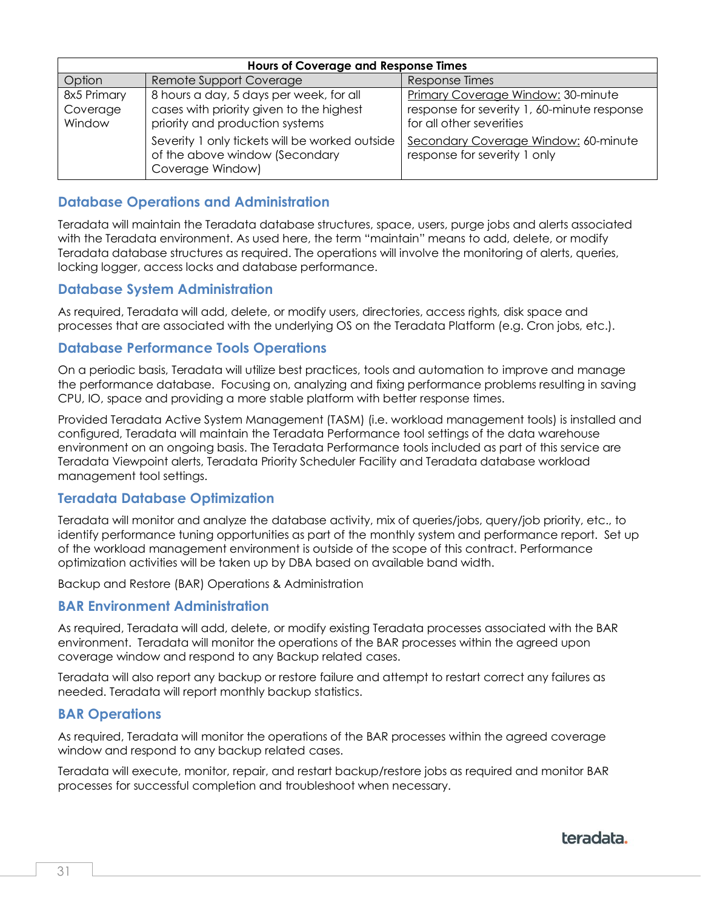| <b>Hours of Coverage and Response Times</b> |                                                                                                      |                                                                         |  |
|---------------------------------------------|------------------------------------------------------------------------------------------------------|-------------------------------------------------------------------------|--|
| Option                                      | Remote Support Coverage                                                                              | Response Times                                                          |  |
| 8x5 Primary                                 | 8 hours a day, 5 days per week, for all                                                              | Primary Coverage Window: 30-minute                                      |  |
| Coverage<br>Window                          | cases with priority given to the highest<br>priority and production systems                          | response for severity 1, 60-minute response<br>for all other severities |  |
|                                             | Severity 1 only tickets will be worked outside<br>of the above window (Secondary<br>Coverage Window) | Secondary Coverage Window: 60-minute<br>response for severity 1 only    |  |

#### **Database Operations and Administration**

Teradata will maintain the Teradata database structures, space, users, purge jobs and alerts associated with the Teradata environment. As used here, the term "maintain" means to add, delete, or modify Teradata database structures as required. The operations will involve the monitoring of alerts, queries, locking logger, access locks and database performance.

#### **Database System Administration**

As required, Teradata will add, delete, or modify users, directories, access rights, disk space and processes that are associated with the underlying OS on the Teradata Platform (e.g. Cron jobs, etc.).

#### **Database Performance Tools Operations**

On a periodic basis, Teradata will utilize best practices, tools and automation to improve and manage the performance database. Focusing on, analyzing and fixing performance problems resulting in saving CPU, IO, space and providing a more stable platform with better response times.

Provided Teradata Active System Management (TASM) (i.e. workload management tools) is installed and configured, Teradata will maintain the Teradata Performance tool settings of the data warehouse environment on an ongoing basis. The Teradata Performance tools included as part of this service are Teradata Viewpoint alerts, Teradata Priority Scheduler Facility and Teradata database workload management tool settings.

#### **Teradata Database Optimization**

Teradata will monitor and analyze the database activity, mix of queries/jobs, query/job priority, etc., to identify performance tuning opportunities as part of the monthly system and performance report. Set up of the workload management environment is outside of the scope of this contract. Performance optimization activities will be taken up by DBA based on available band width.

Backup and Restore (BAR) Operations & Administration

#### **BAR Environment Administration**

As required, Teradata will add, delete, or modify existing Teradata processes associated with the BAR environment. Teradata will monitor the operations of the BAR processes within the agreed upon coverage window and respond to any Backup related cases.

Teradata will also report any backup or restore failure and attempt to restart correct any failures as needed. Teradata will report monthly backup statistics.

#### **BAR Operations**

As required, Teradata will monitor the operations of the BAR processes within the agreed coverage window and respond to any backup related cases.

Teradata will execute, monitor, repair, and restart backup/restore jobs as required and monitor BAR processes for successful completion and troubleshoot when necessary.